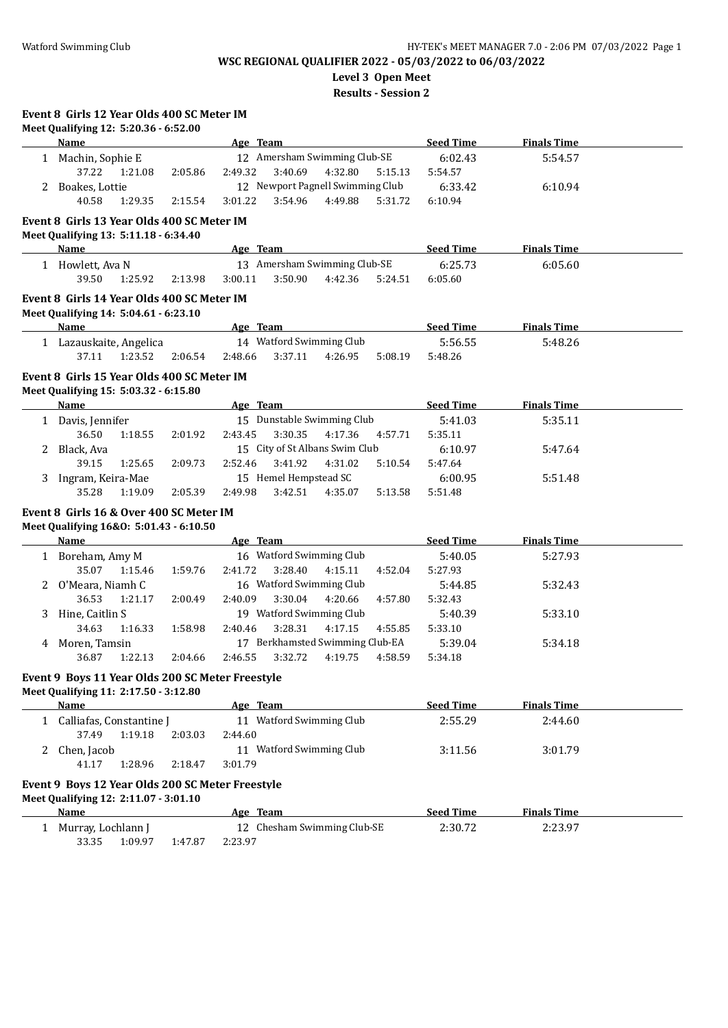**Level 3 Open Meet**

**Results - Session 2**

|   | Meet Qualifying 12: 5:20.36 - 6:52.00            |         |                                |                                  |                    |                    |  |
|---|--------------------------------------------------|---------|--------------------------------|----------------------------------|--------------------|--------------------|--|
|   | <b>Name</b>                                      |         | Age Team                       |                                  | <b>Seed Time</b>   | <b>Finals Time</b> |  |
|   | 1 Machin, Sophie E                               |         |                                | 12 Amersham Swimming Club-SE     | 6:02.43            | 5:54.57            |  |
|   | 37.22<br>1:21.08                                 | 2:05.86 | 2:49.32<br>3:40.69             | 4:32.80<br>5:15.13               | 5:54.57            |                    |  |
|   | 2 Boakes, Lottie                                 |         |                                | 12 Newport Pagnell Swimming Club | 6:33.42            | 6:10.94            |  |
|   | 40.58<br>1:29.35                                 | 2:15.54 | 3:01.22<br>3:54.96             | 4:49.88<br>5:31.72               | 6:10.94            |                    |  |
|   | Event 8 Girls 13 Year Olds 400 SC Meter IM       |         |                                |                                  |                    |                    |  |
|   | Meet Qualifying 13: 5:11.18 - 6:34.40            |         |                                |                                  |                    |                    |  |
|   | <b>Name</b>                                      |         | Age Team                       |                                  | <b>Seed Time</b>   | <b>Finals Time</b> |  |
|   | 1 Howlett, Ava N                                 |         |                                | 13 Amersham Swimming Club-SE     | 6:25.73            | 6:05.60            |  |
|   | 39.50<br>1:25.92                                 | 2:13.98 | 3:00.11<br>3:50.90             | 4:42.36<br>5:24.51               | 6:05.60            |                    |  |
|   | Event 8 Girls 14 Year Olds 400 SC Meter IM       |         |                                |                                  |                    |                    |  |
|   | Meet Qualifying 14: 5:04.61 - 6:23.10            |         |                                |                                  |                    |                    |  |
|   | <b>Name</b>                                      |         | Age Team                       |                                  | <b>Seed Time</b>   | <b>Finals Time</b> |  |
|   | 1 Lazauskaite, Angelica                          |         | 14 Watford Swimming Club       |                                  | 5:56.55            | 5:48.26            |  |
|   | 37.11<br>1:23.52                                 | 2:06.54 | 2:48.66<br>3:37.11             | 4:26.95<br>5:08.19               | 5:48.26            |                    |  |
|   |                                                  |         |                                |                                  |                    |                    |  |
|   | Event 8 Girls 15 Year Olds 400 SC Meter IM       |         |                                |                                  |                    |                    |  |
|   | Meet Qualifying 15: 5:03.32 - 6:15.80<br>Name    |         | Age Team                       |                                  | <b>Seed Time</b>   | <b>Finals Time</b> |  |
|   |                                                  |         | 15 Dunstable Swimming Club     |                                  |                    |                    |  |
|   | 1 Davis, Jennifer<br>36.50                       |         | 2:43.45<br>3:30.35             | 4:17.36<br>4:57.71               | 5:41.03<br>5:35.11 | 5:35.11            |  |
|   | 1:18.55                                          | 2:01.92 | 15 City of St Albans Swim Club |                                  | 6:10.97            |                    |  |
|   | 2 Black, Ava<br>39.15<br>1:25.65                 | 2:09.73 | 2:52.46<br>3:41.92             | 4:31.02<br>5:10.54               | 5:47.64            | 5:47.64            |  |
|   |                                                  |         | 15 Hemel Hempstead SC          |                                  |                    |                    |  |
|   | 3 Ingram, Keira-Mae<br>1:19.09<br>35.28          | 2:05.39 | 2:49.98<br>3:42.51             | 4:35.07<br>5:13.58               | 6:00.95<br>5:51.48 | 5:51.48            |  |
|   |                                                  |         |                                |                                  |                    |                    |  |
|   | Event 8 Girls 16 & Over 400 SC Meter IM          |         |                                |                                  |                    |                    |  |
|   | Meet Qualifying 16&0: 5:01.43 - 6:10.50          |         |                                |                                  |                    |                    |  |
|   | <b>Name</b>                                      |         | Age Team                       |                                  | <b>Seed Time</b>   | <b>Finals Time</b> |  |
|   | 1 Boreham, Amy M                                 |         | 16 Watford Swimming Club       |                                  | 5:40.05            | 5:27.93            |  |
|   | 35.07<br>1:15.46                                 | 1:59.76 | 2:41.72<br>3:28.40             | 4:52.04<br>4:15.11               | 5:27.93            |                    |  |
|   | 2 O'Meara, Niamh C                               |         | 16 Watford Swimming Club       |                                  | 5:44.85            | 5:32.43            |  |
|   | 36.53<br>1:21.17                                 | 2:00.49 | 3:30.04<br>2:40.09             | 4:20.66<br>4:57.80               | 5:32.43            |                    |  |
|   | 3 Hine, Caitlin S                                |         | 19 Watford Swimming Club       |                                  | 5:40.39            | 5:33.10            |  |
|   | 34.63<br>1:16.33                                 | 1:58.98 | 3:28.31<br>2:40.46             | 4:17.15<br>4:55.85               | 5:33.10            |                    |  |
| 4 | Moren, Tamsin                                    |         |                                | 17 Berkhamsted Swimming Club-EA  | 5:39.04            | 5:34.18            |  |
|   | 1:22.13<br>36.87                                 | 2:04.66 | 3:32.72<br>2:46.55             | 4:19.75<br>4:58.59               | 5:34.18            |                    |  |
|   | Event 9 Boys 11 Year Olds 200 SC Meter Freestyle |         |                                |                                  |                    |                    |  |
|   | Meet Qualifying 11: 2:17.50 - 3:12.80            |         |                                |                                  |                    |                    |  |
|   | Name                                             |         | Age Team                       |                                  | <b>Seed Time</b>   | <b>Finals Time</b> |  |
|   | 1 Calliafas, Constantine J                       |         | 11 Watford Swimming Club       |                                  | 2:55.29            | 2:44.60            |  |
|   | 37.49<br>1:19.18                                 | 2:03.03 | 2:44.60                        |                                  |                    |                    |  |
|   | 2 Chen, Jacob                                    |         | 11 Watford Swimming Club       |                                  | 3:11.56            | 3:01.79            |  |
|   | 1:28.96<br>41.17                                 | 2:18.47 | 3:01.79                        |                                  |                    |                    |  |
|   | Event 9 Boys 12 Year Olds 200 SC Meter Freestyle |         |                                |                                  |                    |                    |  |
|   | Meet Qualifying 12: 2:11.07 - 3:01.10            |         |                                |                                  |                    |                    |  |
|   | <b>Name</b>                                      |         | Age Team                       |                                  | <b>Seed Time</b>   | <b>Finals Time</b> |  |
|   | 1 Murray, Lochlann J                             |         | 12 Chesham Swimming Club-SE    |                                  | 2:30.72            | 2:23.97            |  |
|   | 33.35<br>1:09.97                                 | 1:47.87 | 2:23.97                        |                                  |                    |                    |  |
|   |                                                  |         |                                |                                  |                    |                    |  |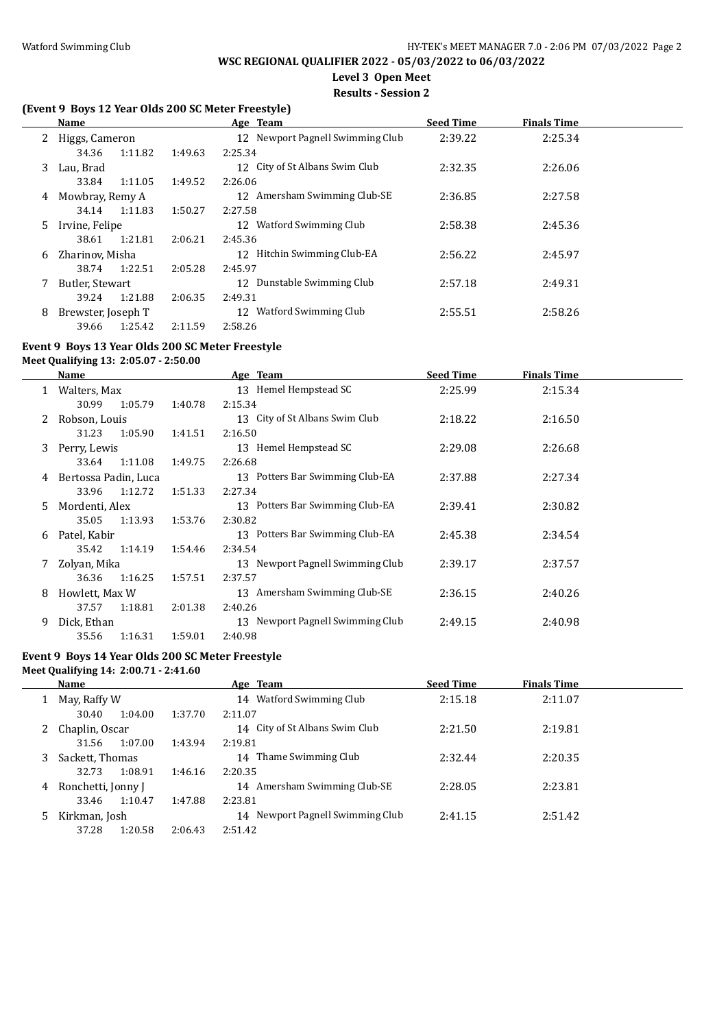$\overline{\phantom{a}}$ 

 $\overline{a}$ 

# **WSC REGIONAL QUALIFIER 2022 - 05/03/2022 to 06/03/2022**

# **Level 3 Open Meet**

# **Results - Session 2**

# **(Event 9 Boys 12 Year Olds 200 SC Meter Freestyle)**

|    | Name               |         |         | Age Team                         | <b>Seed Time</b> | <b>Finals Time</b> |  |
|----|--------------------|---------|---------|----------------------------------|------------------|--------------------|--|
|    | 2 Higgs, Cameron   |         |         | 12 Newport Pagnell Swimming Club | 2:39.22          | 2:25.34            |  |
|    | 34.36              | 1:11.82 | 1:49.63 | 2:25.34                          |                  |                    |  |
| 3. | Lau, Brad          |         |         | 12 City of St Albans Swim Club   | 2:32.35          | 2:26.06            |  |
|    | 33.84              | 1:11.05 | 1:49.52 | 2:26.06                          |                  |                    |  |
| 4  | Mowbray, Remy A    |         |         | 12 Amersham Swimming Club-SE     | 2:36.85          | 2:27.58            |  |
|    | 34.14              | 1:11.83 | 1:50.27 | 2:27.58                          |                  |                    |  |
| 5. | Irvine, Felipe     |         |         | Watford Swimming Club<br>12      | 2:58.38          | 2:45.36            |  |
|    | 38.61              | 1:21.81 | 2:06.21 | 2:45.36                          |                  |                    |  |
| 6  | Zharinov, Misha    |         |         | 12 Hitchin Swimming Club-EA      | 2:56.22          | 2:45.97            |  |
|    | 38.74              | 1:22.51 | 2:05.28 | 2:45.97                          |                  |                    |  |
|    | Butler, Stewart    |         |         | Dunstable Swimming Club<br>12    | 2:57.18          | 2:49.31            |  |
|    | 39.24              | 1:21.88 | 2:06.35 | 2:49.31                          |                  |                    |  |
| 8  | Brewster, Joseph T |         |         | Watford Swimming Club<br>12      | 2:55.51          | 2:58.26            |  |
|    | 39.66              | 1:25.42 | 2:11.59 | 2:58.26                          |                  |                    |  |

#### **Event 9 Boys 13 Year Olds 200 SC Meter Freestyle**

**Meet Qualifying 13: 2:05.07 - 2:50.00**

|    | Name                 |         |         | Age Team                         | <b>Seed Time</b> | <b>Finals Time</b> |  |
|----|----------------------|---------|---------|----------------------------------|------------------|--------------------|--|
|    | 1 Walters, Max       |         |         | 13 Hemel Hempstead SC            | 2:25.99          | 2:15.34            |  |
|    | 30.99                | 1:05.79 | 1:40.78 | 2:15.34                          |                  |                    |  |
| 2  | Robson, Louis        |         |         | 13 City of St Albans Swim Club   | 2:18.22          | 2:16.50            |  |
|    | 31.23                | 1:05.90 | 1:41.51 | 2:16.50                          |                  |                    |  |
| 3  | Perry, Lewis         |         |         | 13 Hemel Hempstead SC            | 2:29.08          | 2:26.68            |  |
|    | 33.64 1:11.08        |         | 1:49.75 | 2:26.68                          |                  |                    |  |
| 4  | Bertossa Padin, Luca |         |         | 13 Potters Bar Swimming Club-EA  | 2:37.88          | 2:27.34            |  |
|    | 33.96                | 1:12.72 | 1:51.33 | 2:27.34                          |                  |                    |  |
| 5. | Mordenti, Alex       |         |         | 13 Potters Bar Swimming Club-EA  | 2:39.41          | 2:30.82            |  |
|    | 35.05                | 1:13.93 | 1:53.76 | 2:30.82                          |                  |                    |  |
| 6  | Patel, Kabir         |         |         | 13 Potters Bar Swimming Club-EA  | 2:45.38          | 2:34.54            |  |
|    | 35.42                | 1:14.19 | 1:54.46 | 2:34.54                          |                  |                    |  |
|    | Zolyan, Mika         |         |         | 13 Newport Pagnell Swimming Club | 2:39.17          | 2:37.57            |  |
|    | 36.36                | 1:16.25 | 1:57.51 | 2:37.57                          |                  |                    |  |
| 8  | Howlett, Max W       |         |         | 13 Amersham Swimming Club-SE     | 2:36.15          | 2:40.26            |  |
|    | 37.57                | 1:18.81 | 2:01.38 | 2:40.26                          |                  |                    |  |
| 9  | Dick, Ethan          |         |         | 13 Newport Pagnell Swimming Club | 2:49.15          | 2:40.98            |  |
|    | 35.56                | 1:16.31 | 1:59.01 | 2:40.98                          |                  |                    |  |

### **Event 9 Boys 14 Year Olds 200 SC Meter Freestyle Meet Qualifying 14: 2:00.71 - 2:41.60**

|   | Name               |         | Age Team                            | <b>Seed Time</b> | <b>Finals Time</b> |  |
|---|--------------------|---------|-------------------------------------|------------------|--------------------|--|
|   | May, Raffy W       |         | Watford Swimming Club<br>14         | 2:15.18          | 2:11.07            |  |
|   | 30.40<br>1:04.00   | 1:37.70 | 2:11.07                             |                  |                    |  |
|   | Chaplin, Oscar     |         | 14 City of St Albans Swim Club      | 2:21.50          | 2:19.81            |  |
|   | 1:07.00<br>31.56   | 1:43.94 | 2:19.81                             |                  |                    |  |
| 3 | Sackett, Thomas    |         | Thame Swimming Club<br>14           | 2:32.44          | 2:20.35            |  |
|   | 1:08.91<br>32.73   | 1:46.16 | 2:20.35                             |                  |                    |  |
| 4 | Ronchetti, Jonny J |         | Amersham Swimming Club-SE<br>14     | 2:28.05          | 2:23.81            |  |
|   | 1:10.47<br>33.46   | 1:47.88 | 2:23.81                             |                  |                    |  |
| 5 | Kirkman, Josh      |         | Newport Pagnell Swimming Club<br>14 | 2:41.15          | 2:51.42            |  |
|   | 37.28<br>1:20.58   | 2:06.43 | 2:51.42                             |                  |                    |  |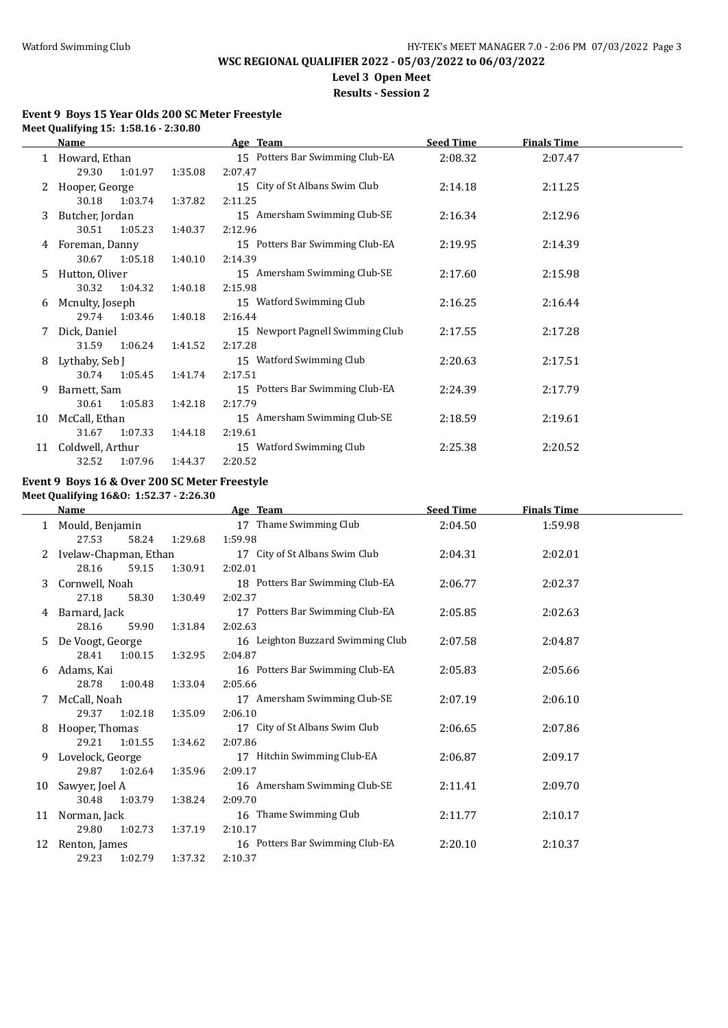$\overline{a}$ 

# **WSC REGIONAL QUALIFIER 2022 - 05/03/2022 to 06/03/2022**

**Level 3 Open Meet**

**Results - Session 2**

### **Event 9 Boys 15 Year Olds 200 SC Meter Freestyle Meet Qualifying 15: 1:58.16 - 2:30.80**

|    | Name             |         |         | Age Team                         | <b>Seed Time</b> | <b>Finals Time</b> |  |
|----|------------------|---------|---------|----------------------------------|------------------|--------------------|--|
|    | 1 Howard, Ethan  |         |         | 15 Potters Bar Swimming Club-EA  | 2:08.32          | 2:07.47            |  |
|    | 29.30            | 1:01.97 | 1:35.08 | 2:07.47                          |                  |                    |  |
| 2  | Hooper, George   |         |         | 15 City of St Albans Swim Club   | 2:14.18          | 2:11.25            |  |
|    | 30.18            | 1:03.74 | 1:37.82 | 2:11.25                          |                  |                    |  |
| 3. | Butcher, Jordan  |         |         | 15 Amersham Swimming Club-SE     | 2:16.34          | 2:12.96            |  |
|    | 30.51            | 1:05.23 | 1:40.37 | 2:12.96                          |                  |                    |  |
| 4  | Foreman, Danny   |         |         | 15 Potters Bar Swimming Club-EA  | 2:19.95          | 2:14.39            |  |
|    | 30.67            | 1:05.18 | 1:40.10 | 2:14.39                          |                  |                    |  |
| 5. | Hutton, Oliver   |         |         | 15 Amersham Swimming Club-SE     | 2:17.60          | 2:15.98            |  |
|    | 30.32            | 1:04.32 | 1:40.18 | 2:15.98                          |                  |                    |  |
| 6  | Mcnulty, Joseph  |         |         | 15 Watford Swimming Club         | 2:16.25          | 2:16.44            |  |
|    | 29.74            | 1:03.46 | 1:40.18 | 2:16.44                          |                  |                    |  |
|    | Dick, Daniel     |         |         | 15 Newport Pagnell Swimming Club | 2:17.55          | 2:17.28            |  |
|    | 31.59            | 1:06.24 | 1:41.52 | 2:17.28                          |                  |                    |  |
| 8  | Lythaby, Seb J   |         |         | 15 Watford Swimming Club         | 2:20.63          | 2:17.51            |  |
|    | 30.74            | 1:05.45 | 1:41.74 | 2:17.51                          |                  |                    |  |
| 9  | Barnett, Sam     |         |         | 15 Potters Bar Swimming Club-EA  | 2:24.39          | 2:17.79            |  |
|    | 30.61            | 1:05.83 | 1:42.18 | 2:17.79                          |                  |                    |  |
| 10 | McCall, Ethan    |         |         | 15 Amersham Swimming Club-SE     | 2:18.59          | 2:19.61            |  |
|    | 31.67            | 1:07.33 | 1:44.18 | 2:19.61                          |                  |                    |  |
| 11 | Coldwell, Arthur |         |         | 15 Watford Swimming Club         | 2:25.38          | 2:20.52            |  |
|    | 32.52            | 1:07.96 | 1:44.37 | 2:20.52                          |                  |                    |  |

### **Event 9 Boys 16 & Over 200 SC Meter Freestyle Meet Qualifying 16&O: 1:52.37 - 2:26.30**

|    | <b>Name</b>           |                |         | Age Team                          | <b>Seed Time</b> | <b>Finals Time</b> |  |
|----|-----------------------|----------------|---------|-----------------------------------|------------------|--------------------|--|
|    | Mould, Benjamin       |                |         | 17 Thame Swimming Club            | 2:04.50          | 1:59.98            |  |
|    | 27.53                 | 58.24          | 1:29.68 | 1:59.98                           |                  |                    |  |
|    | Ivelaw-Chapman, Ethan |                |         | 17 City of St Albans Swim Club    | 2:04.31          | 2:02.01            |  |
|    | 28.16                 | 59.15          | 1:30.91 | 2:02.01                           |                  |                    |  |
| 3  | Cornwell, Noah        |                |         | 18 Potters Bar Swimming Club-EA   | 2:06.77          | 2:02.37            |  |
|    | 27.18                 | 58.30          | 1:30.49 | 2:02.37                           |                  |                    |  |
| 4  | Barnard, Jack         |                |         | 17 Potters Bar Swimming Club-EA   | 2:05.85          | 2:02.63            |  |
|    | 28.16                 | 59.90          | 1:31.84 | 2:02.63                           |                  |                    |  |
| 5  | De Voogt, George      |                |         | 16 Leighton Buzzard Swimming Club | 2:07.58          | 2:04.87            |  |
|    | 28.41                 | 1:00.15        | 1:32.95 | 2:04.87                           |                  |                    |  |
| 6  | Adams, Kai            |                |         | 16 Potters Bar Swimming Club-EA   | 2:05.83          | 2:05.66            |  |
|    | 28.78                 | 1:00.48        | 1:33.04 | 2:05.66                           |                  |                    |  |
|    | McCall, Noah          |                |         | 17 Amersham Swimming Club-SE      | 2:07.19          | 2:06.10            |  |
|    | 29.37                 | 1:02.18        | 1:35.09 | 2:06.10                           |                  |                    |  |
| 8  |                       | Hooper, Thomas |         | 17 City of St Albans Swim Club    | 2:06.65          | 2:07.86            |  |
|    | 29.21                 | 1:01.55        | 1:34.62 | 2:07.86                           |                  |                    |  |
| 9  | Lovelock, George      |                |         | Hitchin Swimming Club-EA<br>17    | 2:06.87          | 2:09.17            |  |
|    | 29.87                 | 1:02.64        | 1:35.96 | 2:09.17                           |                  |                    |  |
| 10 | Sawyer, Joel A        |                |         | 16 Amersham Swimming Club-SE      | 2:11.41          | 2:09.70            |  |
|    | 30.48                 | 1:03.79        | 1:38.24 | 2:09.70                           |                  |                    |  |
| 11 | Norman, Jack          |                |         | 16 Thame Swimming Club            | 2:11.77          | 2:10.17            |  |
|    | 29.80                 | 1:02.73        | 1:37.19 | 2:10.17                           |                  |                    |  |
| 12 | Renton, James         |                |         | 16 Potters Bar Swimming Club-EA   | 2:20.10          | 2:10.37            |  |
|    | 29.23                 | 1:02.79        | 1:37.32 | 2:10.37                           |                  |                    |  |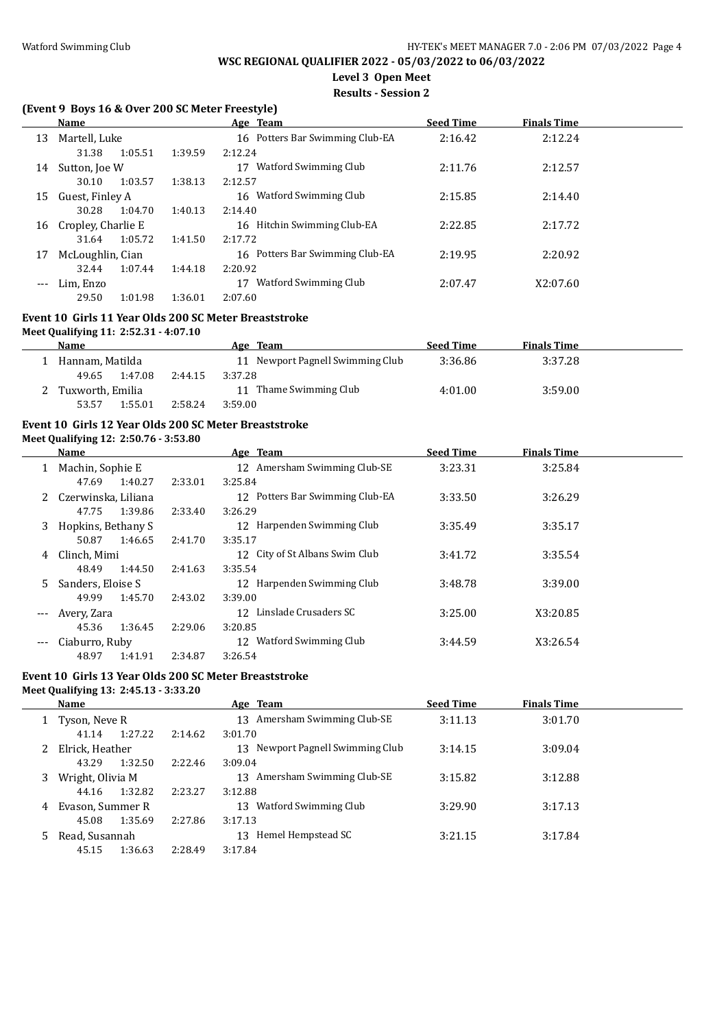# **Level 3 Open Meet**

# **Results - Session 2**

### **(Event 9 Boys 16 & Over 200 SC Meter Freestyle)**

|       | Name               |         |         | Age Team                            | <b>Seed Time</b> | <b>Finals Time</b> |  |
|-------|--------------------|---------|---------|-------------------------------------|------------------|--------------------|--|
| 13    | Martell, Luke      |         |         | Potters Bar Swimming Club-EA<br>16  | 2:16.42          | 2:12.24            |  |
|       | 31.38              | 1:05.51 | 1:39.59 | 2:12.24                             |                  |                    |  |
| 14    | Sutton, Joe W      |         |         | Watford Swimming Club<br>17         | 2:11.76          | 2:12.57            |  |
|       | 30.10              | 1:03.57 | 1:38.13 | 2:12.57                             |                  |                    |  |
| 15    | Guest, Finley A    |         |         | Watford Swimming Club<br>16         | 2:15.85          | 2:14.40            |  |
|       | 30.28              | 1:04.70 | 1:40.13 | 2:14.40                             |                  |                    |  |
| 16    | Cropley, Charlie E |         |         | Hitchin Swimming Club-EA<br>16      | 2:22.85          | 2:17.72            |  |
|       | 31.64              | 1:05.72 | 1:41.50 | 2:17.72                             |                  |                    |  |
| 17    | McLoughlin, Cian   |         |         | Potters Bar Swimming Club-EA<br>16. | 2:19.95          | 2:20.92            |  |
|       | 32.44              | 1:07.44 | 1:44.18 | 2:20.92                             |                  |                    |  |
| $---$ | Lim, Enzo          |         |         | Watford Swimming Club<br>17         | 2:07.47          | X2:07.60           |  |
|       | 29.50              | 1:01.98 | 1:36.01 | 2:07.60                             |                  |                    |  |

#### **Event 10 Girls 11 Year Olds 200 SC Meter Breaststroke**

#### **Meet Qualifying 11: 2:52.31 - 4:07.10**

| Name               |         | Age Team                         | <b>Seed Time</b> | <b>Finals Time</b> |  |
|--------------------|---------|----------------------------------|------------------|--------------------|--|
| Hannam, Matilda    |         | 11 Newport Pagnell Swimming Club | 3:36.86          | 3:37.28            |  |
| 1:47.08<br>49.65   | 2:44.15 | 3:37.28                          |                  |                    |  |
| 2 Tuxworth, Emilia |         | Thame Swimming Club<br>11        | 4:01.00          | 3:59.00            |  |
| 1:55.01<br>53.57   | 2:58.24 | 3:59.00                          |                  |                    |  |

#### **Event 10 Girls 12 Year Olds 200 SC Meter Breaststroke**

#### **Meet Qualifying 12: 2:50.76 - 3:53.80**

|         | Name                |         | Age Team                           | <b>Seed Time</b> | <b>Finals Time</b> |  |
|---------|---------------------|---------|------------------------------------|------------------|--------------------|--|
|         | Machin, Sophie E    |         | Amersham Swimming Club-SE<br>12    | 3:23.31          | 3:25.84            |  |
|         | 1:40.27<br>47.69    | 2:33.01 | 3:25.84                            |                  |                    |  |
|         | Czerwinska, Liliana |         | 12 Potters Bar Swimming Club-EA    | 3:33.50          | 3:26.29            |  |
|         | 1:39.86<br>47.75    | 2:33.40 | 3:26.29                            |                  |                    |  |
| 3       | Hopkins, Bethany S  |         | 12 Harpenden Swimming Club         | 3:35.49          | 3:35.17            |  |
|         | 50.87<br>1:46.65    | 2:41.70 | 3:35.17                            |                  |                    |  |
| 4       | Clinch. Mimi        |         | 12 City of St Albans Swim Club     | 3:41.72          | 3:35.54            |  |
|         | 48.49<br>1:44.50    | 2:41.63 | 3:35.54                            |                  |                    |  |
| 5.      | Sanders, Eloise S   |         | Harpenden Swimming Club<br>12      | 3:48.78          | 3:39.00            |  |
|         | 1:45.70<br>49.99    | 2:43.02 | 3:39.00                            |                  |                    |  |
| $- - -$ | Avery, Zara         |         | Linslade Crusaders SC<br>12        | 3:25.00          | X3:20.85           |  |
|         | 1:36.45<br>45.36    | 2:29.06 | 3:20.85                            |                  |                    |  |
| $---$   | Ciaburro, Ruby      |         | <b>Watford Swimming Club</b><br>12 | 3:44.59          | X3:26.54           |  |
|         | 48.97<br>1:41.91    | 2:34.87 | 3:26.54                            |                  |                    |  |

# **Event 10 Girls 13 Year Olds 200 SC Meter Breaststroke**

### **Meet Qualifying 13: 2:45.13 - 3:33.20 Age Team Seed Time Finals Time** 1 Tyson, Neve R 13 Amersham Swimming Club-SE 3:11.13 3:01.70 41.14 1:27.22 2:14.62 3:01.70 2 Elrick, Heather 13 Newport Pagnell Swimming Club 3:14.15 3:09.04 43.29 1:32.50 2:22.46 3:09.04 3 Wright, Olivia M 13 Amersham Swimming Club-SE 3:15.82 3:12.88 44.16 1:32.82 2:23.27 3:12.88 4 Evason, Summer R 13 Watford Swimming Club 3:29.90 3:17.13 45.08 1:35.69 2:27.86 3:17.13 5 Read, Susannah 13 Hemel Hempstead SC 3:21.15 3:17.84 45.15 1:36.63 2:28.49 3:17.84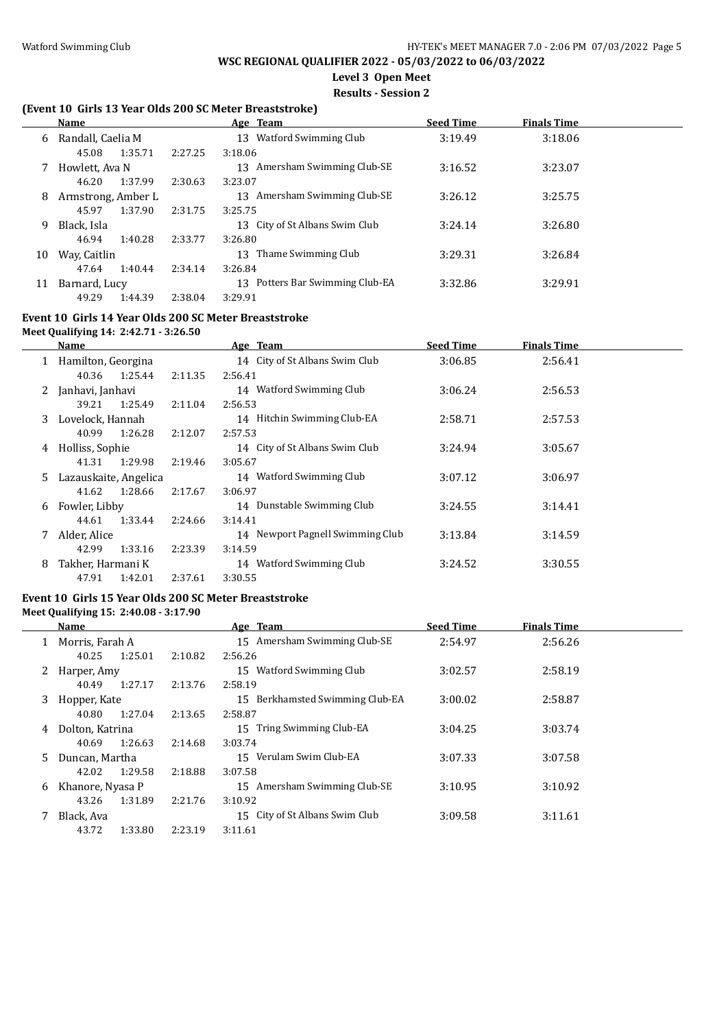# **Level 3 Open Meet**

### **Results - Session 2**

# **(Event 10 Girls 13 Year Olds 200 SC Meter Breaststroke)**

|    | <b>Name</b>        |         | Age Team                           | <b>Seed Time</b> | <b>Finals Time</b> |  |
|----|--------------------|---------|------------------------------------|------------------|--------------------|--|
| 6  | Randall, Caelia M  |         | Watford Swimming Club<br>13        | 3:19.49          | 3:18.06            |  |
|    | 1:35.71<br>45.08   | 2:27.25 | 3:18.06                            |                  |                    |  |
|    | Howlett, Ava N     |         | Amersham Swimming Club-SE<br>13    | 3:16.52          | 3:23.07            |  |
|    | 1:37.99<br>46.20   | 2:30.63 | 3:23.07                            |                  |                    |  |
| 8  | Armstrong, Amber L |         | Amersham Swimming Club-SE<br>13.   | 3:26.12          | 3:25.75            |  |
|    | 1:37.90<br>45.97   | 2:31.75 | 3:25.75                            |                  |                    |  |
| 9  | Black, Isla        |         | 13 City of St Albans Swim Club     | 3:24.14          | 3:26.80            |  |
|    | 46.94<br>1:40.28   | 2:33.77 | 3:26.80                            |                  |                    |  |
| 10 | Way, Caitlin       |         | Thame Swimming Club<br>13          | 3:29.31          | 3:26.84            |  |
|    | 1:40.44<br>47.64   | 2:34.14 | 3:26.84                            |                  |                    |  |
| 11 | Barnard, Lucy      |         | Potters Bar Swimming Club-EA<br>13 | 3:32.86          | 3:29.91            |  |
|    | 49.29<br>1:44.39   | 2:38.04 | 3:29.91                            |                  |                    |  |

### **Event 10 Girls 14 Year Olds 200 SC Meter Breaststroke**

### **Meet Qualifying 14: 2:42.71 - 3:26.50**

|    | Name                  |         | Age Team                         | <b>Seed Time</b> | <b>Finals Time</b> |  |
|----|-----------------------|---------|----------------------------------|------------------|--------------------|--|
| 1  | Hamilton, Georgina    |         | 14 City of St Albans Swim Club   | 3:06.85          | 2:56.41            |  |
|    | 1:25.44<br>40.36      | 2:11.35 | 2:56.41                          |                  |                    |  |
| 2  | Janhavi, Janhavi      |         | 14 Watford Swimming Club         | 3:06.24          | 2:56.53            |  |
|    | 1:25.49<br>39.21      | 2:11.04 | 2:56.53                          |                  |                    |  |
| 3  | Lovelock, Hannah      |         | 14 Hitchin Swimming Club-EA      | 2:58.71          | 2:57.53            |  |
|    | 1:26.28<br>40.99      | 2:12.07 | 2:57.53                          |                  |                    |  |
| 4  | Holliss, Sophie       |         | 14 City of St Albans Swim Club   | 3:24.94          | 3:05.67            |  |
|    | 1:29.98<br>41.31      | 2:19.46 | 3:05.67                          |                  |                    |  |
| 5. | Lazauskaite, Angelica |         | Watford Swimming Club<br>14      | 3:07.12          | 3:06.97            |  |
|    | 41.62<br>1:28.66      | 2:17.67 | 3:06.97                          |                  |                    |  |
| 6  | Fowler. Libby         |         | 14 Dunstable Swimming Club       | 3:24.55          | 3:14.41            |  |
|    | 1:33.44<br>44.61      | 2:24.66 | 3:14.41                          |                  |                    |  |
|    | Alder, Alice          |         | 14 Newport Pagnell Swimming Club | 3:13.84          | 3:14.59            |  |
|    | 1:33.16<br>42.99      | 2:23.39 | 3:14.59                          |                  |                    |  |
| 8  | Takher, Harmani K     |         | 14 Watford Swimming Club         | 3:24.52          | 3:30.55            |  |
|    | 1:42.01<br>47.91      | 2:37.61 | 3:30.55                          |                  |                    |  |

#### **Event 10 Girls 15 Year Olds 200 SC Meter Breaststroke**

#### **Meet Qualifying 15: 2:40.08 - 3:17.90**

 $\overline{a}$ 

|    | <b>Name</b>      |         | Age Team                           | <b>Seed Time</b> | <b>Finals Time</b> |  |
|----|------------------|---------|------------------------------------|------------------|--------------------|--|
|    | Morris, Farah A  |         | 15 Amersham Swimming Club-SE       | 2:54.97          | 2:56.26            |  |
|    | 1:25.01<br>40.25 | 2:10.82 | 2:56.26                            |                  |                    |  |
| 2  | Harper, Amy      |         | Watford Swimming Club<br>15        | 3:02.57          | 2:58.19            |  |
|    | 1:27.17<br>40.49 | 2:13.76 | 2:58.19                            |                  |                    |  |
| 3  | Hopper, Kate     |         | Berkhamsted Swimming Club-EA<br>15 | 3:00.02          | 2:58.87            |  |
|    | 1:27.04<br>40.80 | 2:13.65 | 2:58.87                            |                  |                    |  |
| 4  | Dolton, Katrina  |         | 15 Tring Swimming Club-EA          | 3:04.25          | 3:03.74            |  |
|    | 1:26.63<br>40.69 | 2:14.68 | 3:03.74                            |                  |                    |  |
| 5. | Duncan, Martha   |         | Verulam Swim Club-EA<br>15         | 3:07.33          | 3:07.58            |  |
|    | 1:29.58<br>42.02 | 2:18.88 | 3:07.58                            |                  |                    |  |
| 6  | Khanore, Nyasa P |         | Amersham Swimming Club-SE<br>15    | 3:10.95          | 3:10.92            |  |
|    | 43.26<br>1:31.89 | 2:21.76 | 3:10.92                            |                  |                    |  |
|    | Black, Ava       |         | City of St Albans Swim Club<br>15  | 3:09.58          | 3:11.61            |  |
|    | 43.72<br>1:33.80 | 2:23.19 | 3:11.61                            |                  |                    |  |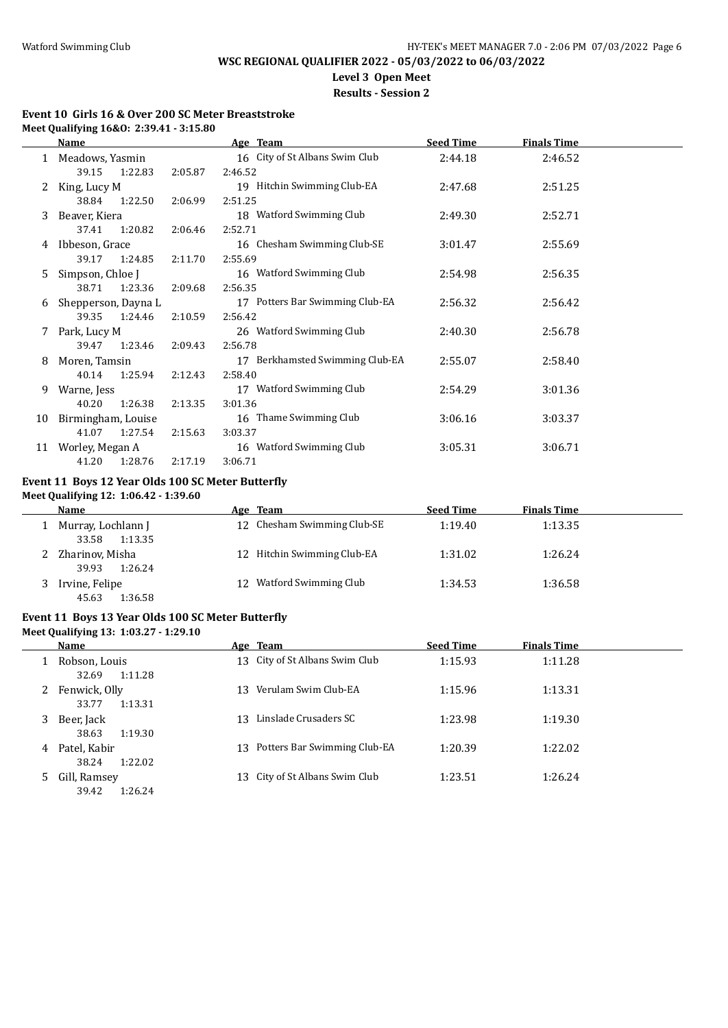$\overline{\phantom{a}}$ 

# **WSC REGIONAL QUALIFIER 2022 - 05/03/2022 to 06/03/2022**

**Level 3 Open Meet**

# **Results - Session 2**

### **Event 10 Girls 16 & Over 200 SC Meter Breaststroke Meet Qualifying 16&O: 2:39.41 - 3:15.80**

|    | Name                |         | Age Team                        | <b>Seed Time</b> | <b>Finals Time</b> |  |
|----|---------------------|---------|---------------------------------|------------------|--------------------|--|
|    | 1 Meadows, Yasmin   |         | 16 City of St Albans Swim Club  | 2:44.18          | 2:46.52            |  |
|    | 39.15<br>1:22.83    | 2:05.87 | 2:46.52                         |                  |                    |  |
|    | King, Lucy M        |         | 19 Hitchin Swimming Club-EA     | 2:47.68          | 2:51.25            |  |
|    | 38.84<br>1:22.50    | 2:06.99 | 2:51.25                         |                  |                    |  |
| 3. | Beaver, Kiera       |         | 18 Watford Swimming Club        | 2:49.30          | 2:52.71            |  |
|    | 37.41 1:20.82       | 2:06.46 | 2:52.71                         |                  |                    |  |
| 4  | Ibbeson, Grace      |         | 16 Chesham Swimming Club-SE     | 3:01.47          | 2:55.69            |  |
|    | 39.17<br>1:24.85    | 2:11.70 | 2:55.69                         |                  |                    |  |
| 5  | Simpson, Chloe J    |         | 16 Watford Swimming Club        | 2:54.98          | 2:56.35            |  |
|    | 38.71<br>1:23.36    | 2:09.68 | 2:56.35                         |                  |                    |  |
| 6  | Shepperson, Dayna L |         | 17 Potters Bar Swimming Club-EA | 2:56.32          | 2:56.42            |  |
|    | 39.35<br>1:24.46    | 2:10.59 | 2:56.42                         |                  |                    |  |
|    | Park, Lucy M        |         | 26 Watford Swimming Club        | 2:40.30          | 2:56.78            |  |
|    | 39.47 1:23.46       | 2:09.43 | 2:56.78                         |                  |                    |  |
| 8  | Moren, Tamsin       |         | 17 Berkhamsted Swimming Club-EA | 2:55.07          | 2:58.40            |  |
|    | 40.14<br>1:25.94    | 2:12.43 | 2:58.40                         |                  |                    |  |
| 9  | Warne, Jess         |         | 17 Watford Swimming Club        | 2:54.29          | 3:01.36            |  |
|    | 40.20<br>1:26.38    | 2:13.35 | 3:01.36                         |                  |                    |  |
| 10 | Birmingham, Louise  |         | 16 Thame Swimming Club          | 3:06.16          | 3:03.37            |  |
|    | 1:27.54<br>41.07    | 2:15.63 | 3:03.37                         |                  |                    |  |
| 11 | Worley, Megan A     |         | 16 Watford Swimming Club        | 3:05.31          | 3:06.71            |  |
|    | 41.20<br>1:28.76    | 2:17.19 | 3:06.71                         |                  |                    |  |

#### **Event 11 Boys 12 Year Olds 100 SC Meter Butterfly Meet Qualifying 12: 1:06.42 - 1:39.60**

| <b>Name</b>                         |     | Age Team                    | <b>Seed Time</b> | <b>Finals Time</b> |
|-------------------------------------|-----|-----------------------------|------------------|--------------------|
| Murray, Lochlann J                  |     | 12 Chesham Swimming Club-SE | 1:19.40          | 1:13.35            |
| 1:13.35<br>33.58                    |     |                             |                  |                    |
| Zharinov, Misha<br>1:26.24<br>39.93 |     | 12 Hitchin Swimming Club-EA | 1:31.02          | 1:26.24            |
| Irvine, Felipe<br>1:36.58<br>45.63  | 12. | Watford Swimming Club       | 1:34.53          | 1:36.58            |

# **Event 11 Boys 13 Year Olds 100 SC Meter Butterfly**

**Meet Qualifying 13: 1:03.27 - 1:29.10**

|   | Name                              |     | Age Team                        | <b>Seed Time</b> | <b>Finals Time</b> |
|---|-----------------------------------|-----|---------------------------------|------------------|--------------------|
|   | Robson, Louis<br>32.69<br>1:11.28 |     | 13 City of St Albans Swim Club  | 1:15.93          | 1:11.28            |
| 2 | Fenwick, Olly<br>33.77<br>1:13.31 | 13. | Verulam Swim Club-EA            | 1:15.96          | 1:13.31            |
| 3 | Beer, Jack<br>38.63<br>1:19.30    | 13  | Linslade Crusaders SC           | 1:23.98          | 1:19.30            |
| 4 | Patel, Kabir<br>38.24<br>1:22.02  |     | 13 Potters Bar Swimming Club-EA | 1:20.39          | 1:22.02            |
| 5 | Gill, Ramsey<br>1:26.24<br>39.42  |     | 13 City of St Albans Swim Club  | 1:23.51          | 1:26.24            |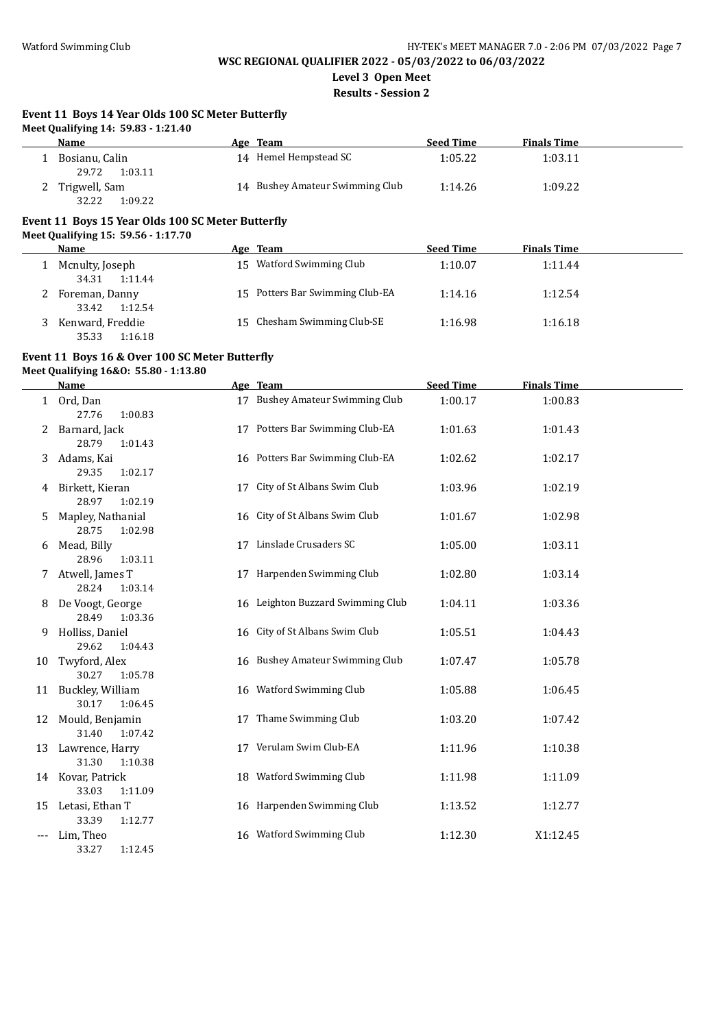# **WSC REGIONAL QUALIFIER 2022 - 05/03/2022 to 06/03/2022**

**Level 3 Open Meet**

**Results - Session 2**

#### **Event 11 Boys 14 Year Olds 100 SC Meter Butterfly Meet Qualifying 14: 59.83 - 1:21.40**

| .                |                                 |                  |                    |
|------------------|---------------------------------|------------------|--------------------|
| Name             | Age Team                        | <b>Seed Time</b> | <b>Finals Time</b> |
| Bosianu, Calin   | 14 Hemel Hempstead SC           | 1:05.22          | 1:03.11            |
| 29.72<br>1:03.11 |                                 |                  |                    |
| 2 Trigwell, Sam  | 14 Bushey Amateur Swimming Club | 1:14.26          | 1:09.22            |
| 32.22<br>1:09.22 |                                 |                  |                    |

# **Event 11 Boys 15 Year Olds 100 SC Meter Butterfly**

**Meet Qualifying 15: 59.56 - 1:17.70**

| <b>Name</b>                          | Age Team                        | <b>Seed Time</b> | <b>Finals Time</b> |  |
|--------------------------------------|---------------------------------|------------------|--------------------|--|
| Mcnulty, Joseph<br>1:11.44<br>34.31  | 15 Watford Swimming Club        | 1:10.07          | 1:11.44            |  |
| Foreman, Danny<br>1:12.54<br>33.42   | 15 Potters Bar Swimming Club-EA | 1:14.16          | 1:12.54            |  |
| Kenward, Freddie<br>1:16.18<br>35.33 | 15 Chesham Swimming Club-SE     | 1:16.98          | 1:16.18            |  |

# **Event 11 Boys 16 & Over 100 SC Meter Butterfly**

**Meet Qualifying 16&O: 55.80 - 1:13.80**

|       | <b>Name</b>                           |    | Age Team                          | <b>Seed Time</b> | <b>Finals Time</b> |  |
|-------|---------------------------------------|----|-----------------------------------|------------------|--------------------|--|
|       | 1 Ord, Dan<br>27.76<br>1:00.83        |    | 17 Bushey Amateur Swimming Club   | 1:00.17          | 1:00.83            |  |
| 2     | Barnard, Jack<br>28.79<br>1:01.43     |    | 17 Potters Bar Swimming Club-EA   | 1:01.63          | 1:01.43            |  |
| 3     | Adams, Kai<br>29.35<br>1:02.17        |    | 16 Potters Bar Swimming Club-EA   | 1:02.62          | 1:02.17            |  |
| 4     | Birkett, Kieran<br>28.97<br>1:02.19   |    | 17 City of St Albans Swim Club    | 1:03.96          | 1:02.19            |  |
| 5     | Mapley, Nathanial<br>28.75<br>1:02.98 |    | 16 City of St Albans Swim Club    | 1:01.67          | 1:02.98            |  |
| 6     | Mead, Billy<br>28.96<br>1:03.11       | 17 | Linslade Crusaders SC             | 1:05.00          | 1:03.11            |  |
| 7     | Atwell, James T<br>28.24<br>1:03.14   |    | 17 Harpenden Swimming Club        | 1:02.80          | 1:03.14            |  |
| 8     | De Voogt, George<br>28.49<br>1:03.36  |    | 16 Leighton Buzzard Swimming Club | 1:04.11          | 1:03.36            |  |
| 9     | Holliss, Daniel<br>29.62<br>1:04.43   |    | 16 City of St Albans Swim Club    | 1:05.51          | 1:04.43            |  |
| 10    | Twyford, Alex<br>30.27<br>1:05.78     |    | 16 Bushey Amateur Swimming Club   | 1:07.47          | 1:05.78            |  |
| 11    | Buckley, William<br>30.17<br>1:06.45  |    | 16 Watford Swimming Club          | 1:05.88          | 1:06.45            |  |
| 12    | Mould, Benjamin<br>31.40<br>1:07.42   | 17 | Thame Swimming Club               | 1:03.20          | 1:07.42            |  |
| 13    | Lawrence, Harry<br>31.30<br>1:10.38   |    | 17 Verulam Swim Club-EA           | 1:11.96          | 1:10.38            |  |
|       | 14 Kovar, Patrick<br>33.03<br>1:11.09 |    | 18 Watford Swimming Club          | 1:11.98          | 1:11.09            |  |
| 15    | Letasi, Ethan T<br>33.39<br>1:12.77   |    | 16 Harpenden Swimming Club        | 1:13.52          | 1:12.77            |  |
| $---$ | Lim, Theo<br>33.27<br>1:12.45         | 16 | Watford Swimming Club             | 1:12.30          | X1:12.45           |  |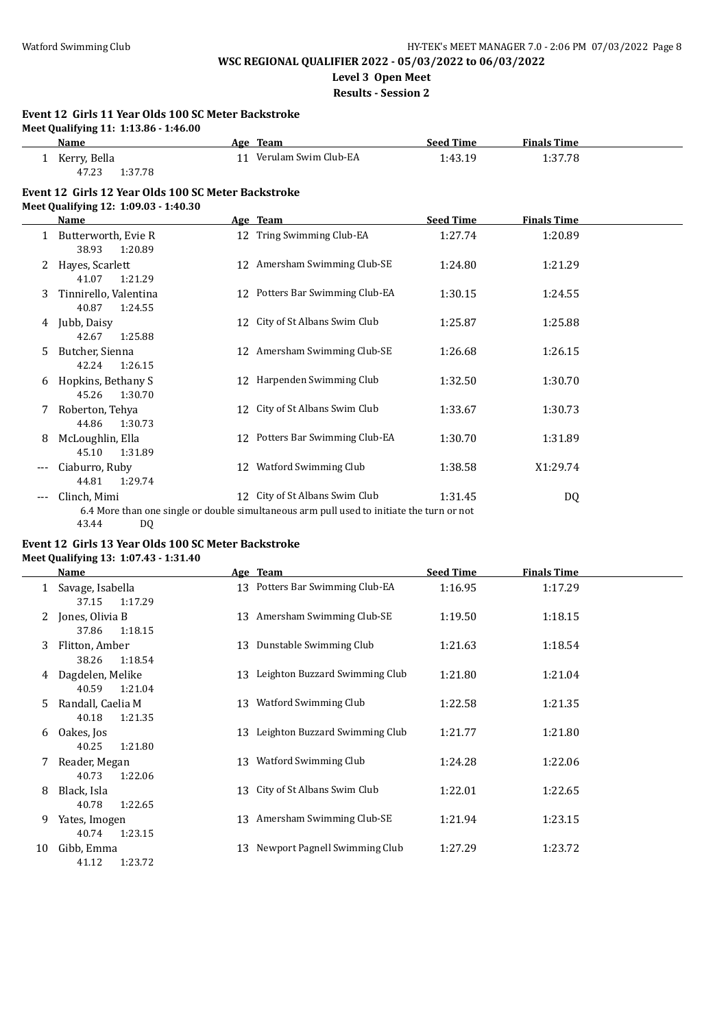**Level 3 Open Meet**

**Results - Session 2**

| Event 12 Girls 11 Year Olds 100 SC Meter Backstroke |
|-----------------------------------------------------|
| Meet Oualifying 11: 1:13.86 - 1:46.00               |

|   | $\frac{1}{2}$<br>Name                                                                        | Age Team                                                                                                                    | <b>Seed Time</b> | <b>Finals Time</b> |  |
|---|----------------------------------------------------------------------------------------------|-----------------------------------------------------------------------------------------------------------------------------|------------------|--------------------|--|
| 1 | Kerry, Bella<br>47.23<br>1:37.78                                                             | 11 Verulam Swim Club-EA                                                                                                     | 1:43.19          | 1:37.78            |  |
|   | Event 12 Girls 12 Year Olds 100 SC Meter Backstroke<br>Meet Qualifying 12: 1:09.03 - 1:40.30 |                                                                                                                             |                  |                    |  |
|   | <b>Name</b>                                                                                  | Age Team                                                                                                                    | <b>Seed Time</b> | <b>Finals Time</b> |  |
|   | Butterworth, Evie R<br>38.93<br>1:20.89                                                      | 12 Tring Swimming Club-EA                                                                                                   | 1:27.74          | 1:20.89            |  |
|   | Hayes, Scarlett<br>41.07<br>1:21.29                                                          | 12 Amersham Swimming Club-SE                                                                                                | 1:24.80          | 1:21.29            |  |
| 3 | Tinnirello, Valentina<br>40.87<br>1:24.55                                                    | 12 Potters Bar Swimming Club-EA                                                                                             | 1:30.15          | 1:24.55            |  |
| 4 | Jubb, Daisy<br>42.67<br>1:25.88                                                              | 12 City of St Albans Swim Club                                                                                              | 1:25.87          | 1:25.88            |  |
| 5 | Butcher, Sienna<br>42.24<br>1:26.15                                                          | 12 Amersham Swimming Club-SE                                                                                                | 1:26.68          | 1:26.15            |  |
| 6 | Hopkins, Bethany S<br>45.26<br>1:30.70                                                       | 12 Harpenden Swimming Club                                                                                                  | 1:32.50          | 1:30.70            |  |
|   | Roberton, Tehya<br>44.86<br>1:30.73                                                          | 12 City of St Albans Swim Club                                                                                              | 1:33.67          | 1:30.73            |  |
| 8 | McLoughlin, Ella<br>45.10<br>1:31.89                                                         | 12 Potters Bar Swimming Club-EA                                                                                             | 1:30.70          | 1:31.89            |  |
|   | Ciaburro, Ruby<br>44.81<br>1:29.74                                                           | 12 Watford Swimming Club                                                                                                    | 1:38.58          | X1:29.74           |  |
|   | Clinch. Mimi<br>43.44<br>DQ                                                                  | 12 City of St Albans Swim Club<br>6.4 More than one single or double simultaneous arm pull used to initiate the turn or not | 1:31.45          | DQ                 |  |

### **Event 12 Girls 13 Year Olds 100 SC Meter Backstroke Meet Qualifying 13: 1:07.43 - 1:31.40**

|    | <b>Name</b>                           |    | Age Team                          | <b>Seed Time</b> | <b>Finals Time</b> |
|----|---------------------------------------|----|-----------------------------------|------------------|--------------------|
| 1  | Savage, Isabella<br>37.15<br>1:17.29  |    | 13 Potters Bar Swimming Club-EA   | 1:16.95          | 1:17.29            |
| 2  | Jones, Olivia B<br>1:18.15<br>37.86   |    | 13 Amersham Swimming Club-SE      | 1:19.50          | 1:18.15            |
| 3  | Flitton, Amber<br>38.26<br>1:18.54    |    | 13 Dunstable Swimming Club        | 1:21.63          | 1:18.54            |
| 4  | Dagdelen, Melike<br>40.59<br>1:21.04  | 13 | Leighton Buzzard Swimming Club    | 1:21.80          | 1:21.04            |
| 5. | Randall, Caelia M<br>40.18<br>1:21.35 |    | 13 Watford Swimming Club          | 1:22.58          | 1:21.35            |
| 6  | Oakes, Jos<br>40.25<br>1:21.80        |    | 13 Leighton Buzzard Swimming Club | 1:21.77          | 1:21.80            |
| 7  | Reader, Megan<br>40.73<br>1:22.06     | 13 | Watford Swimming Club             | 1:24.28          | 1:22.06            |
| 8  | Black, Isla<br>40.78<br>1:22.65       |    | 13 City of St Albans Swim Club    | 1:22.01          | 1:22.65            |
| 9  | Yates, Imogen<br>40.74<br>1:23.15     | 13 | Amersham Swimming Club-SE         | 1:21.94          | 1:23.15            |
| 10 | Gibb, Emma<br>1:23.72<br>41.12        | 13 | Newport Pagnell Swimming Club     | 1:27.29          | 1:23.72            |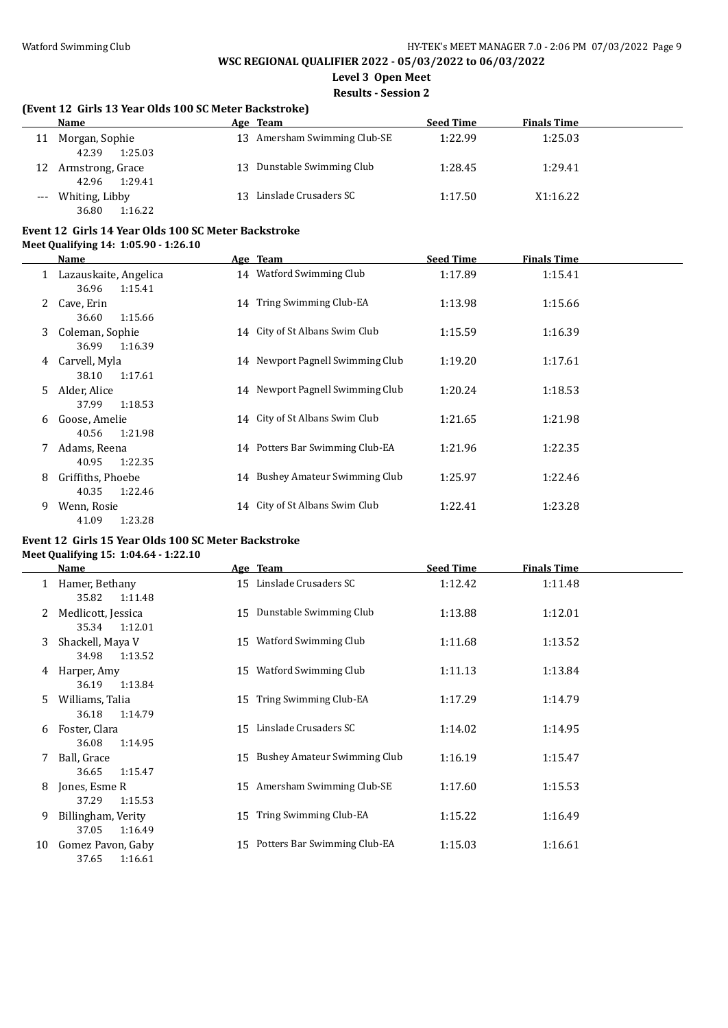**Level 3 Open Meet**

**Results - Session 2**

### **(Event 12 Girls 13 Year Olds 100 SC Meter Backstroke)**

|    | Name                                 | Age | Team                         | <b>Seed Time</b> | <b>Finals Time</b> |
|----|--------------------------------------|-----|------------------------------|------------------|--------------------|
| 11 | Morgan, Sophie<br>42.39<br>1:25.03   |     | 13 Amersham Swimming Club-SE | 1:22.99          | 1:25.03            |
| 12 | Armstrong, Grace<br>1:29.41<br>42.96 |     | 13 Dunstable Swimming Club   | 1:28.45          | 1:29.41            |
|    | Whiting, Libby<br>36.80<br>1:16.22   | 13. | Linslade Crusaders SC        | 1:17.50          | X1:16.22           |

#### **Event 12 Girls 14 Year Olds 100 SC Meter Backstroke**

**Meet Qualifying 14: 1:05.90 - 1:26.10**

|    | Name                                      | Age Team                         | <b>Seed Time</b> | <b>Finals Time</b> |  |
|----|-------------------------------------------|----------------------------------|------------------|--------------------|--|
|    | Lazauskaite, Angelica<br>36.96<br>1:15.41 | 14 Watford Swimming Club         | 1:17.89          | 1:15.41            |  |
| 2  | Cave, Erin<br>1:15.66<br>36.60            | 14 Tring Swimming Club-EA        | 1:13.98          | 1:15.66            |  |
| 3  | Coleman, Sophie<br>36.99<br>1:16.39       | 14 City of St Albans Swim Club   | 1:15.59          | 1:16.39            |  |
| 4  | Carvell, Myla<br>1:17.61<br>38.10         | 14 Newport Pagnell Swimming Club | 1:19.20          | 1:17.61            |  |
| 5. | Alder, Alice<br>37.99<br>1:18.53          | 14 Newport Pagnell Swimming Club | 1:20.24          | 1:18.53            |  |
| 6  | Goose, Amelie<br>1:21.98<br>40.56         | 14 City of St Albans Swim Club   | 1:21.65          | 1:21.98            |  |
|    | Adams, Reena<br>1:22.35<br>40.95          | 14 Potters Bar Swimming Club-EA  | 1:21.96          | 1:22.35            |  |
| 8  | Griffiths, Phoebe<br>1:22.46<br>40.35     | 14 Bushey Amateur Swimming Club  | 1:25.97          | 1:22.46            |  |
| 9  | Wenn, Rosie<br>1:23.28<br>41.09           | 14 City of St Albans Swim Club   | 1:22.41          | 1:23.28            |  |

### **Event 12 Girls 15 Year Olds 100 SC Meter Backstroke Meet Qualifying 15: 1:04.64 - 1:22.10**

|    | Name                                   |    | Age Team                            | <b>Seed Time</b> | <b>Finals Time</b> |
|----|----------------------------------------|----|-------------------------------------|------------------|--------------------|
| 1  | Hamer, Bethany<br>1:11.48<br>35.82     |    | 15 Linslade Crusaders SC            | 1:12.42          | 1:11.48            |
| 2  | Medlicott, Jessica<br>35.34<br>1:12.01 | 15 | Dunstable Swimming Club             | 1:13.88          | 1:12.01            |
| 3  | Shackell, Maya V<br>34.98<br>1:13.52   | 15 | Watford Swimming Club               | 1:11.68          | 1:13.52            |
| 4  | Harper, Amy<br>36.19<br>1:13.84        | 15 | Watford Swimming Club               | 1:11.13          | 1:13.84            |
| 5  | Williams, Talia<br>36.18<br>1:14.79    | 15 | Tring Swimming Club-EA              | 1:17.29          | 1:14.79            |
| 6  | Foster, Clara<br>36.08<br>1:14.95      | 15 | Linslade Crusaders SC               | 1:14.02          | 1:14.95            |
| 7  | Ball, Grace<br>36.65<br>1:15.47        | 15 | <b>Bushey Amateur Swimming Club</b> | 1:16.19          | 1:15.47            |
| 8  | Jones, Esme R<br>37.29<br>1:15.53      |    | 15 Amersham Swimming Club-SE        | 1:17.60          | 1:15.53            |
| 9  | Billingham, Verity<br>37.05<br>1:16.49 | 15 | Tring Swimming Club-EA              | 1:15.22          | 1:16.49            |
| 10 | Gomez Pavon, Gaby<br>37.65<br>1:16.61  | 15 | Potters Bar Swimming Club-EA        | 1:15.03          | 1:16.61            |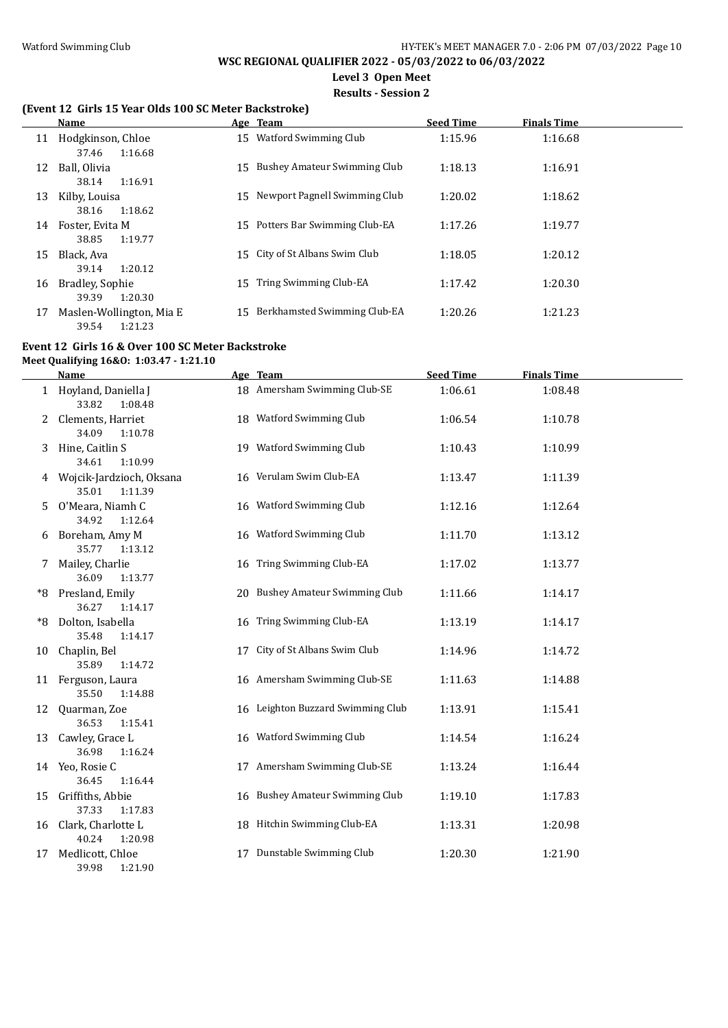# **Level 3 Open Meet**

**Results - Session 2**

# **(Event 12 Girls 15 Year Olds 100 SC Meter Backstroke)**

|    | <b>Name</b>                                  |    | Age Team                         | <b>Seed Time</b> | <b>Finals Time</b> |  |
|----|----------------------------------------------|----|----------------------------------|------------------|--------------------|--|
| 11 | Hodgkinson, Chloe<br>1:16.68<br>37.46        | 15 | Watford Swimming Club            | 1:15.96          | 1:16.68            |  |
| 12 | Ball, Olivia                                 |    | 15 Bushey Amateur Swimming Club  | 1:18.13          | 1:16.91            |  |
| 13 | 1:16.91<br>38.14<br>Kilby, Louisa            |    | 15 Newport Pagnell Swimming Club | 1:20.02          | 1:18.62            |  |
| 14 | 1:18.62<br>38.16<br>Foster, Evita M          |    | 15 Potters Bar Swimming Club-EA  | 1:17.26          | 1:19.77            |  |
| 15 | 1:19.77<br>38.85<br>Black, Ava               |    | 15 City of St Albans Swim Club   | 1:18.05          | 1:20.12            |  |
|    | 1:20.12<br>39.14                             |    |                                  |                  |                    |  |
| 16 | Bradley, Sophie<br>1:20.30<br>39.39          | 15 | Tring Swimming Club-EA           | 1:17.42          | 1:20.30            |  |
| 17 | Maslen-Wollington, Mia E<br>1:21.23<br>39.54 | 15 | Berkhamsted Swimming Club-EA     | 1:20.26          | 1:21.23            |  |

### **Event 12 Girls 16 & Over 100 SC Meter Backstroke**

**Meet Qualifying 16&O: 1:03.47 - 1:21.10**

 $\overline{a}$ 

|    | <u>Name</u>                                  | Age Team                          | <b>Seed Time</b> | <b>Finals Time</b> |  |
|----|----------------------------------------------|-----------------------------------|------------------|--------------------|--|
|    | 1 Hoyland, Daniella J<br>33.82<br>1:08.48    | 18 Amersham Swimming Club-SE      | 1:06.61          | 1:08.48            |  |
|    | Clements, Harriet<br>34.09<br>1:10.78        | 18 Watford Swimming Club          | 1:06.54          | 1:10.78            |  |
| 3  | Hine, Caitlin S<br>34.61<br>1:10.99          | 19 Watford Swimming Club          | 1:10.43          | 1:10.99            |  |
| 4  | Wojcik-Jardzioch, Oksana<br>35.01<br>1:11.39 | 16 Verulam Swim Club-EA           | 1:13.47          | 1:11.39            |  |
| 5. | O'Meara, Niamh C<br>34.92<br>1:12.64         | 16 Watford Swimming Club          | 1:12.16          | 1:12.64            |  |
| 6  | Boreham, Amy M<br>35.77<br>1:13.12           | 16 Watford Swimming Club          | 1:11.70          | 1:13.12            |  |
|    | Mailey, Charlie<br>36.09<br>1:13.77          | 16 Tring Swimming Club-EA         | 1:17.02          | 1:13.77            |  |
| *8 | Presland, Emily<br>36.27<br>1:14.17          | 20 Bushey Amateur Swimming Club   | 1:11.66          | 1:14.17            |  |
| *8 | Dolton, Isabella<br>35.48<br>1:14.17         | 16 Tring Swimming Club-EA         | 1:13.19          | 1:14.17            |  |
| 10 | Chaplin, Bel<br>35.89<br>1:14.72             | 17 City of St Albans Swim Club    | 1:14.96          | 1:14.72            |  |
|    | 11 Ferguson, Laura<br>35.50<br>1:14.88       | 16 Amersham Swimming Club-SE      | 1:11.63          | 1:14.88            |  |
| 12 | Quarman, Zoe<br>36.53<br>1:15.41             | 16 Leighton Buzzard Swimming Club | 1:13.91          | 1:15.41            |  |
| 13 | Cawley, Grace L<br>36.98<br>1:16.24          | 16 Watford Swimming Club          | 1:14.54          | 1:16.24            |  |
|    | 14 Yeo, Rosie C<br>36.45<br>1:16.44          | 17 Amersham Swimming Club-SE      | 1:13.24          | 1:16.44            |  |
| 15 | Griffiths, Abbie<br>37.33<br>1:17.83         | 16 Bushey Amateur Swimming Club   | 1:19.10          | 1:17.83            |  |
|    | 16 Clark, Charlotte L<br>40.24<br>1:20.98    | 18 Hitchin Swimming Club-EA       | 1:13.31          | 1:20.98            |  |
| 17 | Medlicott, Chloe<br>39.98<br>1:21.90         | 17 Dunstable Swimming Club        | 1:20.30          | 1:21.90            |  |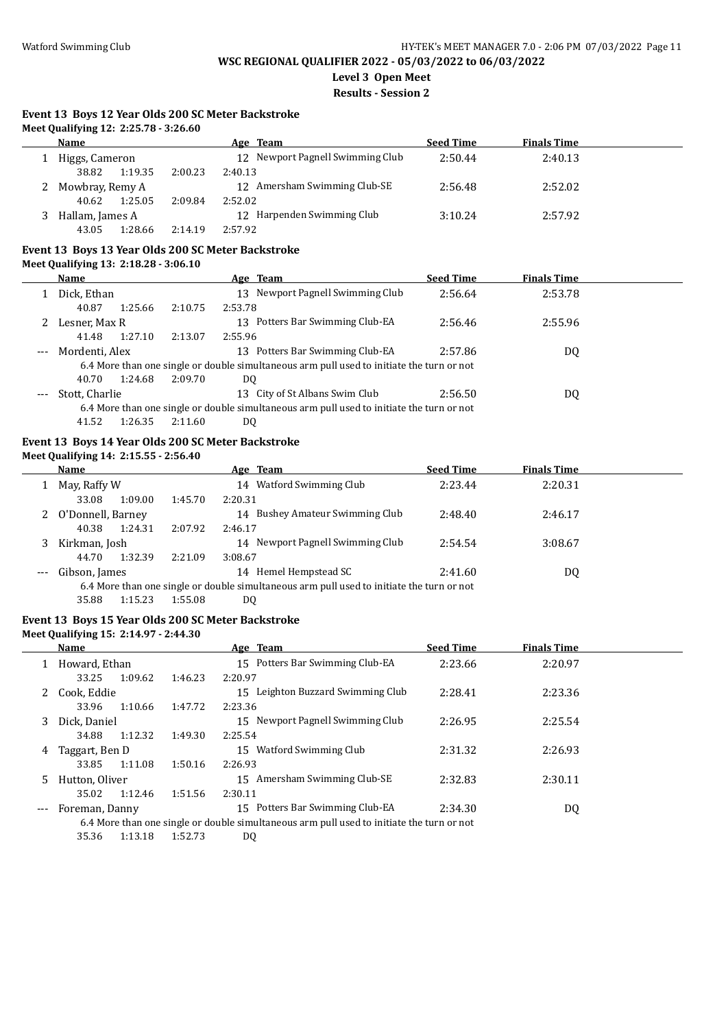**Level 3 Open Meet**

**Results - Session 2**

# **Event 13 Boys 12 Year Olds 200 SC Meter Backstroke**

| Name              |         | Age Team                         | <b>Seed Time</b> | <b>Finals Time</b> |  |
|-------------------|---------|----------------------------------|------------------|--------------------|--|
| Higgs, Cameron    |         | 12 Newport Pagnell Swimming Club | 2:50.44          | 2:40.13            |  |
| 1:19.35<br>38.82  | 2:00.23 | 2:40.13                          |                  |                    |  |
| 2 Mowbray, Remy A |         | 12 Amersham Swimming Club-SE     | 2:56.48          | 2:52.02            |  |
| 1:25.05<br>40.62  | 2:09.84 | 2:52.02                          |                  |                    |  |
| Hallam, James A   |         | 12 Harpenden Swimming Club       | 3:10.24          | 2:57.92            |  |
| 1:28.66<br>43.05  | 2:14.19 | 2:57.92                          |                  |                    |  |

#### **Event 13 Boys 13 Year Olds 200 SC Meter Backstroke Meet Qualifying 13: 2:18.28 - 3:06.10**

|       | Name           |         |         | Age Team                                                                                  | <b>Seed Time</b> | <b>Finals Time</b> |  |
|-------|----------------|---------|---------|-------------------------------------------------------------------------------------------|------------------|--------------------|--|
|       | Dick, Ethan    |         |         | 13 Newport Pagnell Swimming Club                                                          | 2:56.64          | 2:53.78            |  |
|       | 40.87          | 1:25.66 | 2:10.75 | 2:53.78                                                                                   |                  |                    |  |
|       | Lesner, Max R  |         |         | Potters Bar Swimming Club-EA<br>13                                                        | 2:56.46          | 2:55.96            |  |
|       | 41.48          | 1:27.10 | 2:13.07 | 2:55.96                                                                                   |                  |                    |  |
| $---$ | Mordenti, Alex |         |         | Potters Bar Swimming Club-EA<br>13                                                        | 2:57.86          | DQ                 |  |
|       |                |         |         | 6.4 More than one single or double simultaneous arm pull used to initiate the turn or not |                  |                    |  |
|       | 40.70          | 1:24.68 | 2:09.70 | DQ                                                                                        |                  |                    |  |
| ---   | Stott, Charlie |         |         | 13 City of St Albans Swim Club                                                            | 2:56.50          | DQ                 |  |
|       |                |         |         | 6.4 More than one single or double simultaneous arm pull used to initiate the turn or not |                  |                    |  |
|       | 1152           | 1.2625  | 7.11.60 | DO.                                                                                       |                  |                    |  |

#### 41.52 1:26.35 2:11.60 DQ

# **Event 13 Boys 14 Year Olds 200 SC Meter Backstroke**

# **Meet Qualifying 14: 2:15.55 - 2:56.40**

|         | Name              |         | Age Team                                                                                  | <b>Seed Time</b> | <b>Finals Time</b> |  |
|---------|-------------------|---------|-------------------------------------------------------------------------------------------|------------------|--------------------|--|
|         | May, Raffy W      |         | 14 Watford Swimming Club                                                                  | 2:23.44          | 2:20.31            |  |
|         | 33.08<br>1:09.00  | 1:45.70 | 2:20.31                                                                                   |                  |                    |  |
| 2       | O'Donnell, Barney |         | 14 Bushey Amateur Swimming Club                                                           | 2:48.40          | 2:46.17            |  |
|         | 40.38<br>1:24.31  | 2:07.92 | 2:46.17                                                                                   |                  |                    |  |
| 3.      | Kirkman, Josh     |         | 14 Newport Pagnell Swimming Club                                                          | 2:54.54          | 3:08.67            |  |
|         | 1:32.39<br>44.70  | 2:21.09 | 3:08.67                                                                                   |                  |                    |  |
| $- - -$ | Gibson, James     |         | Hemel Hempstead SC<br>14                                                                  | 2:41.60          | DQ                 |  |
|         |                   |         | 6.4 More than one single or double simultaneous arm pull used to initiate the turn or not |                  |                    |  |
|         | 35.88<br>1:15.23  | 1:55.08 | DQ                                                                                        |                  |                    |  |

### **Event 13 Boys 15 Year Olds 200 SC Meter Backstroke**

#### **Meet Qualifying 15: 2:14.97 - 2:44.30**

|   | Name           |         |         | Age Team                                                                                  | <b>Seed Time</b> | <b>Finals Time</b> |  |
|---|----------------|---------|---------|-------------------------------------------------------------------------------------------|------------------|--------------------|--|
|   | Howard, Ethan  |         |         | 15 Potters Bar Swimming Club-EA                                                           | 2:23.66          | 2:20.97            |  |
|   | 33.25          | 1:09.62 | 1:46.23 | 2:20.97                                                                                   |                  |                    |  |
|   | Cook. Eddie    |         |         | Leighton Buzzard Swimming Club<br>15.                                                     | 2:28.41          | 2:23.36            |  |
|   | 33.96          | 1:10.66 | 1:47.72 | 2:23.36                                                                                   |                  |                    |  |
| 3 | Dick. Daniel   |         |         | 15 Newport Pagnell Swimming Club                                                          | 2:26.95          | 2:25.54            |  |
|   | 34.88          | 1:12.32 | 1:49.30 | 2:25.54                                                                                   |                  |                    |  |
| 4 | Taggart, Ben D |         |         | Watford Swimming Club<br>15                                                               | 2:31.32          | 2:26.93            |  |
|   | 33.85          | 1:11.08 | 1:50.16 | 2:26.93                                                                                   |                  |                    |  |
| 5 | Hutton, Oliver |         |         | 15 Amersham Swimming Club-SE                                                              | 2:32.83          | 2:30.11            |  |
|   | 35.02          | 1:12.46 | 1:51.56 | 2:30.11                                                                                   |                  |                    |  |
|   | Foreman, Danny |         |         | 15 Potters Bar Swimming Club-EA                                                           | 2:34.30          | DQ                 |  |
|   |                |         |         | 6.4 More than one single or double simultaneous arm pull used to initiate the turn or not |                  |                    |  |
|   | 35.36          | 1:13.18 | 1:52.73 | DO                                                                                        |                  |                    |  |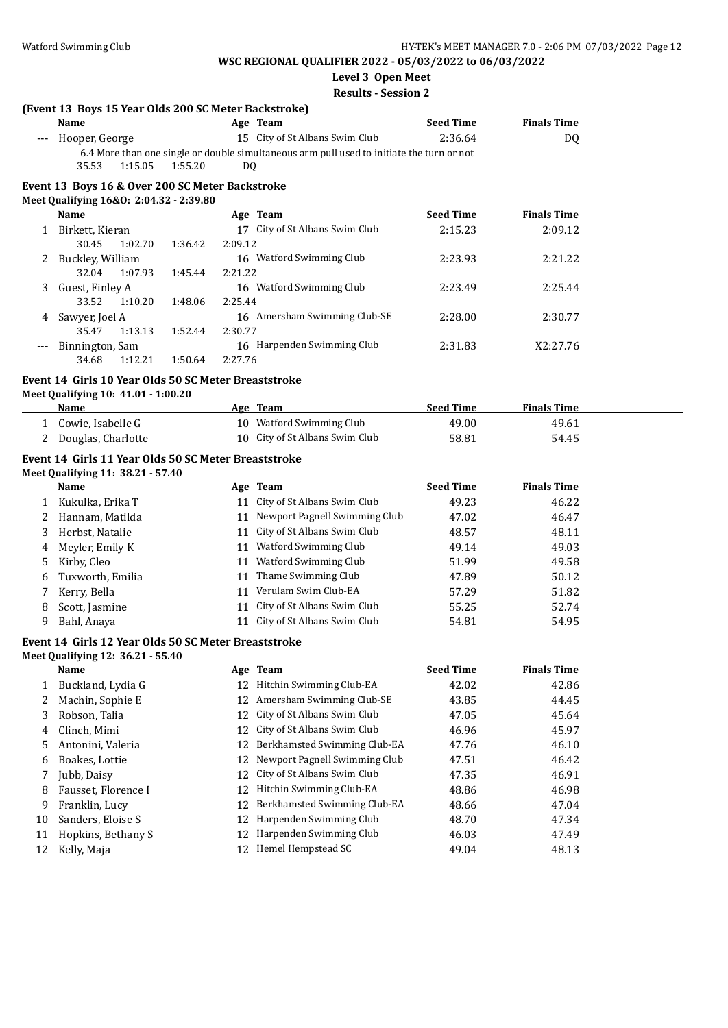**Level 3 Open Meet**

**Results - Session 2**

|          | (Event 13 Boys 15 Year Olds 200 SC Meter Backstroke) |         |          |                                                                                           |                  |                    |  |
|----------|------------------------------------------------------|---------|----------|-------------------------------------------------------------------------------------------|------------------|--------------------|--|
|          | Name                                                 |         |          | Age Team                                                                                  | <b>Seed Time</b> | <b>Finals Time</b> |  |
|          | --- Hooper, George                                   |         |          | 15 City of St Albans Swim Club                                                            | 2:36.64          | <b>DQ</b>          |  |
|          |                                                      |         |          | 6.4 More than one single or double simultaneous arm pull used to initiate the turn or not |                  |                    |  |
|          | 1:15.05<br>35.53                                     | 1:55.20 | DQ       |                                                                                           |                  |                    |  |
|          | Event 13 Boys 16 & Over 200 SC Meter Backstroke      |         |          |                                                                                           |                  |                    |  |
|          | Meet Qualifying 16&0: 2:04.32 - 2:39.80              |         |          |                                                                                           |                  |                    |  |
|          | <b>Name</b>                                          |         |          | Age Team                                                                                  | <b>Seed Time</b> | <b>Finals Time</b> |  |
|          | 1 Birkett, Kieran                                    |         |          | 17 City of St Albans Swim Club                                                            | 2:15.23          | 2:09.12            |  |
|          | 30.45<br>1:02.70                                     | 1:36.42 | 2:09.12  |                                                                                           |                  |                    |  |
|          | 2 Buckley, William                                   |         |          | 16 Watford Swimming Club                                                                  | 2:23.93          | 2:21.22            |  |
|          | 32.04<br>1:07.93                                     | 1:45.44 | 2:21.22  |                                                                                           |                  |                    |  |
| 3        | Guest, Finley A                                      |         |          | 16 Watford Swimming Club                                                                  | 2:23.49          | 2:25.44            |  |
|          | 33.52<br>1:10.20                                     | 1:48.06 | 2:25.44  |                                                                                           |                  |                    |  |
| 4        | Sawyer, Joel A                                       |         |          | 16 Amersham Swimming Club-SE                                                              | 2:28.00          | 2:30.77            |  |
|          | 35.47<br>1:13.13                                     | 1:52.44 | 2:30.77  |                                                                                           |                  |                    |  |
| ---      | Binnington, Sam<br>34.68<br>1:12.21                  | 1:50.64 | 2:27.76  | 16 Harpenden Swimming Club                                                                | 2:31.83          | X2:27.76           |  |
|          |                                                      |         |          |                                                                                           |                  |                    |  |
|          | Event 14 Girls 10 Year Olds 50 SC Meter Breaststroke |         |          |                                                                                           |                  |                    |  |
|          | Meet Qualifying 10: 41.01 - 1:00.20                  |         |          |                                                                                           |                  |                    |  |
|          | <b>Name</b>                                          |         |          | Age Team                                                                                  | <b>Seed Time</b> | <b>Finals Time</b> |  |
|          | 1 Cowie, Isabelle G                                  |         |          | 10 Watford Swimming Club                                                                  | 49.00            | 49.61              |  |
|          | 2 Douglas, Charlotte                                 |         |          | 10 City of St Albans Swim Club                                                            | 58.81            | 54.45              |  |
|          | Event 14 Girls 11 Year Olds 50 SC Meter Breaststroke |         |          |                                                                                           |                  |                    |  |
|          | Meet Qualifying 11: 38.21 - 57.40                    |         |          |                                                                                           |                  |                    |  |
|          |                                                      |         |          |                                                                                           |                  |                    |  |
|          | Name                                                 |         |          | Age Team                                                                                  | <b>Seed Time</b> | <b>Finals Time</b> |  |
|          | 1 Kukulka, Erika T                                   |         |          | 11 City of St Albans Swim Club                                                            | 49.23            | 46.22              |  |
|          | 2 Hannam, Matilda                                    |         |          | 11 Newport Pagnell Swimming Club                                                          | 47.02            | 46.47              |  |
| 3        | Herbst, Natalie                                      |         |          | 11 City of St Albans Swim Club                                                            | 48.57            | 48.11              |  |
| 4        | Meyler, Emily K                                      |         |          | 11 Watford Swimming Club                                                                  | 49.14            | 49.03              |  |
| 5.       | Kirby, Cleo                                          |         |          | 11 Watford Swimming Club                                                                  | 51.99            | 49.58              |  |
| 6        | Tuxworth, Emilia                                     |         |          | 11 Thame Swimming Club                                                                    | 47.89            | 50.12              |  |
| 7        | Kerry, Bella                                         |         |          | 11 Verulam Swim Club-EA                                                                   | 57.29            | 51.82              |  |
| 8        | Scott, Jasmine                                       |         |          | 11 City of St Albans Swim Club                                                            | 55.25            | 52.74              |  |
| 9        | Bahl, Anaya                                          |         |          | 11 City of St Albans Swim Club                                                            | 54.81            | 54.95              |  |
|          |                                                      |         |          |                                                                                           |                  |                    |  |
|          | Event 14 Girls 12 Year Olds 50 SC Meter Breaststroke |         |          |                                                                                           |                  |                    |  |
|          | Meet Qualifying 12: 36.21 - 55.40                    |         |          |                                                                                           |                  |                    |  |
|          | <u>Name</u>                                          |         |          | Age Team                                                                                  | <b>Seed Time</b> | <b>Finals Time</b> |  |
| 1        | Buckland, Lydia G                                    |         |          | 12 Hitchin Swimming Club-EA                                                               | 42.02            | 42.86              |  |
| 2        | Machin, Sophie E                                     |         | 12       | Amersham Swimming Club-SE                                                                 | 43.85            | 44.45              |  |
| 3        | Robson, Talia                                        |         | 12       | City of St Albans Swim Club                                                               | 47.05            | 45.64              |  |
| 4        | Clinch, Mimi                                         |         | 12       | City of St Albans Swim Club                                                               | 46.96            | 45.97              |  |
| 5        | Antonini, Valeria                                    |         | 12       | Berkhamsted Swimming Club-EA                                                              | 47.76            | 46.10              |  |
| 6        | Boakes, Lottie                                       |         | 12       | Newport Pagnell Swimming Club                                                             | 47.51            | 46.42              |  |
| 7        | Jubb, Daisy                                          |         | 12       | City of St Albans Swim Club                                                               | 47.35            | 46.91              |  |
| 8        | Fausset, Florence I                                  |         | 12       | Hitchin Swimming Club-EA                                                                  | 48.86            | 46.98              |  |
| 9        | Franklin, Lucy                                       |         | 12       | Berkhamsted Swimming Club-EA                                                              | 48.66            | 47.04              |  |
| 10<br>11 | Sanders, Eloise S<br>Hopkins, Bethany S              |         | 12<br>12 | Harpenden Swimming Club<br>Harpenden Swimming Club                                        | 48.70<br>46.03   | 47.34<br>47.49     |  |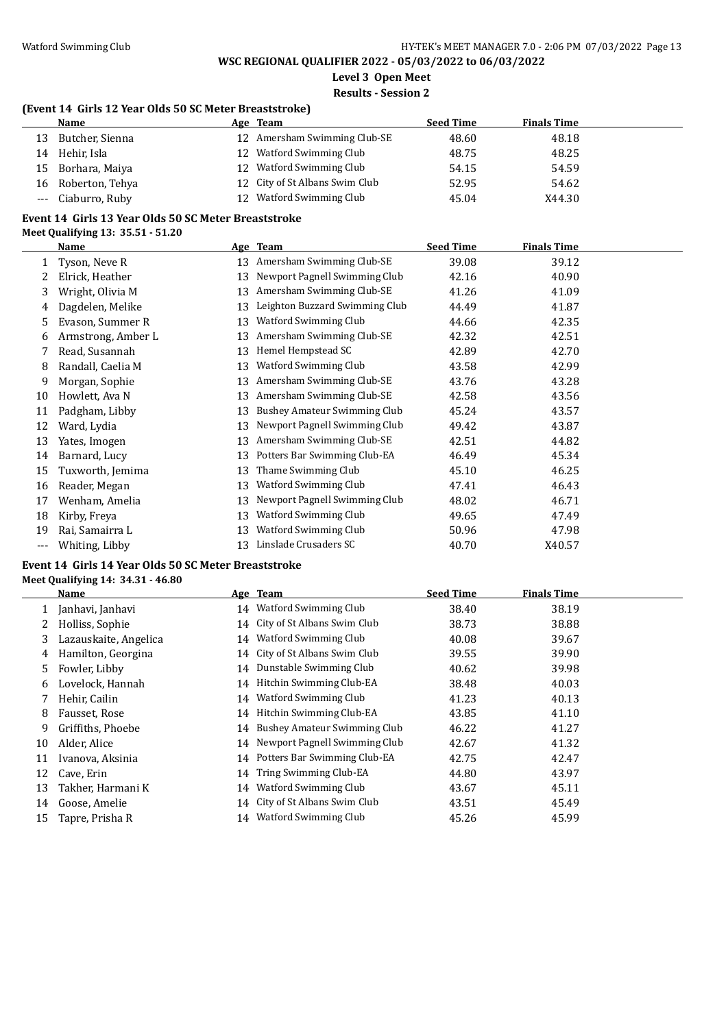**Level 3 Open Meet**

#### **Results - Session 2**

### **(Event 14 Girls 12 Year Olds 50 SC Meter Breaststroke)**

|    | Name               |    | Age Team                       | <b>Seed Time</b> | <b>Finals Time</b> |
|----|--------------------|----|--------------------------------|------------------|--------------------|
| 13 | Butcher, Sienna    |    | 12 Amersham Swimming Club-SE   | 48.60            | 48.18              |
| 14 | Hehir, Isla        |    | 12 Watford Swimming Club       | 48.75            | 48.25              |
| 15 | Borhara, Maiya     | 12 | Watford Swimming Club          | 54.15            | 54.59              |
| 16 | Roberton, Tehya    |    | 12 City of St Albans Swim Club | 52.95            | 54.62              |
|    | --- Ciaburro, Ruby |    | 12 Watford Swimming Club       | 45.04            | X44.30             |

#### **Event 14 Girls 13 Year Olds 50 SC Meter Breaststroke Meet Qualifying 13: 35.51 - 51.20**

|       | Name               |    | Age Team                            | <b>Seed Time</b> | <b>Finals Time</b> |
|-------|--------------------|----|-------------------------------------|------------------|--------------------|
|       | Tyson, Neve R      | 13 | Amersham Swimming Club-SE           | 39.08            | 39.12              |
| 2     | Elrick, Heather    | 13 | Newport Pagnell Swimming Club       | 42.16            | 40.90              |
| 3     | Wright, Olivia M   | 13 | Amersham Swimming Club-SE           | 41.26            | 41.09              |
| 4     | Dagdelen, Melike   | 13 | Leighton Buzzard Swimming Club      | 44.49            | 41.87              |
| 5     | Evason, Summer R   | 13 | Watford Swimming Club               | 44.66            | 42.35              |
| 6     | Armstrong, Amber L | 13 | Amersham Swimming Club-SE           | 42.32            | 42.51              |
| 7     | Read, Susannah     | 13 | Hemel Hempstead SC                  | 42.89            | 42.70              |
| 8     | Randall, Caelia M  | 13 | Watford Swimming Club               | 43.58            | 42.99              |
| 9     | Morgan, Sophie     | 13 | Amersham Swimming Club-SE           | 43.76            | 43.28              |
| 10    | Howlett, Ava N     | 13 | Amersham Swimming Club-SE           | 42.58            | 43.56              |
| 11    | Padgham, Libby     | 13 | <b>Bushey Amateur Swimming Club</b> | 45.24            | 43.57              |
| 12    | Ward, Lydia        | 13 | Newport Pagnell Swimming Club       | 49.42            | 43.87              |
| 13    | Yates, Imogen      | 13 | Amersham Swimming Club-SE           | 42.51            | 44.82              |
| 14    | Barnard, Lucy      | 13 | Potters Bar Swimming Club-EA        | 46.49            | 45.34              |
| 15    | Tuxworth, Jemima   | 13 | Thame Swimming Club                 | 45.10            | 46.25              |
| 16    | Reader, Megan      | 13 | Watford Swimming Club               | 47.41            | 46.43              |
| 17    | Wenham, Amelia     | 13 | Newport Pagnell Swimming Club       | 48.02            | 46.71              |
| 18    | Kirby, Freya       | 13 | Watford Swimming Club               | 49.65            | 47.49              |
| 19    | Rai, Samairra L    | 13 | Watford Swimming Club               | 50.96            | 47.98              |
| $---$ | Whiting, Libby     | 13 | Linslade Crusaders SC               | 40.70            | X40.57             |

#### **Event 14 Girls 14 Year Olds 50 SC Meter Breaststroke Meet Qualifying 14: 34.31 - 46.80**

|    | Name                  |    | Age Team                        | <b>Seed Time</b> | <b>Finals Time</b> |
|----|-----------------------|----|---------------------------------|------------------|--------------------|
|    | Janhavi, Janhavi      | 14 | Watford Swimming Club           | 38.40            | 38.19              |
| 2  | Holliss, Sophie       |    | 14 City of St Albans Swim Club  | 38.73            | 38.88              |
| 3  | Lazauskaite, Angelica | 14 | <b>Watford Swimming Club</b>    | 40.08            | 39.67              |
| 4  | Hamilton, Georgina    |    | 14 City of St Albans Swim Club  | 39.55            | 39.90              |
| 5. | Fowler, Libby         |    | 14 Dunstable Swimming Club      | 40.62            | 39.98              |
| 6  | Lovelock, Hannah      | 14 | Hitchin Swimming Club-EA        | 38.48            | 40.03              |
|    | Hehir, Cailin         | 14 | <b>Watford Swimming Club</b>    | 41.23            | 40.13              |
| 8  | Fausset, Rose         |    | 14 Hitchin Swimming Club-EA     | 43.85            | 41.10              |
| 9  | Griffiths, Phoebe     | 14 | Bushey Amateur Swimming Club    | 46.22            | 41.27              |
| 10 | Alder, Alice          | 14 | Newport Pagnell Swimming Club   | 42.67            | 41.32              |
| 11 | Ivanova, Aksinia      |    | 14 Potters Bar Swimming Club-EA | 42.75            | 42.47              |
| 12 | Cave, Erin            | 14 | Tring Swimming Club-EA          | 44.80            | 43.97              |
| 13 | Takher, Harmani K     | 14 | Watford Swimming Club           | 43.67            | 45.11              |
| 14 | Goose, Amelie         | 14 | City of St Albans Swim Club     | 43.51            | 45.49              |
| 15 | Tapre, Prisha R       | 14 | Watford Swimming Club           | 45.26            | 45.99              |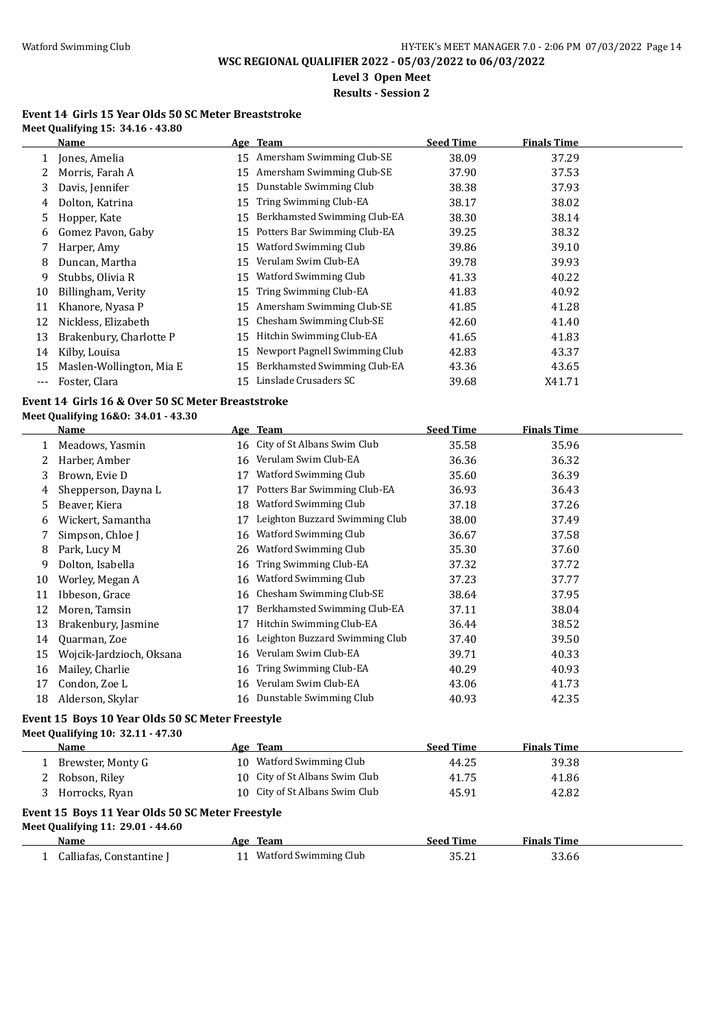**Level 3 Open Meet**

**Results - Session 2**

#### **Event 14 Girls 15 Year Olds 50 SC Meter Breaststroke Meet Qualifying 15: 34.16 - 43.80**

|              | Name                     |    | Age Team                      | <b>Seed Time</b> | <b>Finals Time</b> |
|--------------|--------------------------|----|-------------------------------|------------------|--------------------|
| $\mathbf{1}$ | Jones, Amelia            | 15 | Amersham Swimming Club-SE     | 38.09            | 37.29              |
|              | Morris, Farah A          | 15 | Amersham Swimming Club-SE     | 37.90            | 37.53              |
| 3            | Davis, Jennifer          | 15 | Dunstable Swimming Club       | 38.38            | 37.93              |
| 4            | Dolton, Katrina          | 15 | Tring Swimming Club-EA        | 38.17            | 38.02              |
| 5            | Hopper, Kate             | 15 | Berkhamsted Swimming Club-EA  | 38.30            | 38.14              |
| 6            | Gomez Pavon, Gaby        | 15 | Potters Bar Swimming Club-EA  | 39.25            | 38.32              |
|              | Harper, Amy              | 15 | Watford Swimming Club         | 39.86            | 39.10              |
| 8            | Duncan, Martha           | 15 | Verulam Swim Club-EA          | 39.78            | 39.93              |
| 9            | Stubbs, Olivia R         | 15 | Watford Swimming Club         | 41.33            | 40.22              |
| 10           | Billingham, Verity       | 15 | Tring Swimming Club-EA        | 41.83            | 40.92              |
| 11           | Khanore, Nyasa P         | 15 | Amersham Swimming Club-SE     | 41.85            | 41.28              |
| 12           | Nickless, Elizabeth      | 15 | Chesham Swimming Club-SE      | 42.60            | 41.40              |
| 13           | Brakenbury, Charlotte P  | 15 | Hitchin Swimming Club-EA      | 41.65            | 41.83              |
| 14           | Kilby, Louisa            | 15 | Newport Pagnell Swimming Club | 42.83            | 43.37              |
| 15           | Maslen-Wollington, Mia E | 15 | Berkhamsted Swimming Club-EA  | 43.36            | 43.65              |
| ---          | Foster, Clara            | 15 | Linslade Crusaders SC         | 39.68            | X41.71             |

### **Event 14 Girls 16 & Over 50 SC Meter Breaststroke**

**Meet Qualifying 16&O: 34.01 - 43.30**

|    | Name                     |    | Age Team                       | <b>Seed Time</b> | <b>Finals Time</b> |  |
|----|--------------------------|----|--------------------------------|------------------|--------------------|--|
|    | Meadows, Yasmin          |    | 16 City of St Albans Swim Club | 35.58            | 35.96              |  |
| 2  | Harber, Amber            | 16 | Verulam Swim Club-EA           | 36.36            | 36.32              |  |
| 3  | Brown, Evie D            | 17 | Watford Swimming Club          | 35.60            | 36.39              |  |
| 4  | Shepperson, Dayna L      | 17 | Potters Bar Swimming Club-EA   | 36.93            | 36.43              |  |
| 5. | Beaver, Kiera            | 18 | Watford Swimming Club          | 37.18            | 37.26              |  |
| 6  | Wickert, Samantha        | 17 | Leighton Buzzard Swimming Club | 38.00            | 37.49              |  |
|    | Simpson, Chloe J         | 16 | Watford Swimming Club          | 36.67            | 37.58              |  |
| 8  | Park, Lucy M             | 26 | Watford Swimming Club          | 35.30            | 37.60              |  |
| 9  | Dolton, Isabella         | 16 | Tring Swimming Club-EA         | 37.32            | 37.72              |  |
| 10 | Worley, Megan A          | 16 | Watford Swimming Club          | 37.23            | 37.77              |  |
| 11 | Ibbeson, Grace           | 16 | Chesham Swimming Club-SE       | 38.64            | 37.95              |  |
| 12 | Moren, Tamsin            | 17 | Berkhamsted Swimming Club-EA   | 37.11            | 38.04              |  |
| 13 | Brakenbury, Jasmine      | 17 | Hitchin Swimming Club-EA       | 36.44            | 38.52              |  |
| 14 | Quarman, Zoe             | 16 | Leighton Buzzard Swimming Club | 37.40            | 39.50              |  |
| 15 | Wojcik-Jardzioch, Oksana | 16 | Verulam Swim Club-EA           | 39.71            | 40.33              |  |
| 16 | Mailey, Charlie          | 16 | Tring Swimming Club-EA         | 40.29            | 40.93              |  |
| 17 | Condon, Zoe L            | 16 | Verulam Swim Club-EA           | 43.06            | 41.73              |  |
| 18 | Alderson, Skylar         |    | 16 Dunstable Swimming Club     | 40.93            | 42.35              |  |

#### **Event 15 Boys 10 Year Olds 50 SC Meter Freestyle**

**Meet Qualifying 10: 32.11 - 47.30**

| Name                                                                                  |                                  |  | <b>Seed Time</b>                                                                                                                                  | <b>Finals Time</b>        |                             |  |  |
|---------------------------------------------------------------------------------------|----------------------------------|--|---------------------------------------------------------------------------------------------------------------------------------------------------|---------------------------|-----------------------------|--|--|
| Brewster, Monty G                                                                     |                                  |  | 44.25                                                                                                                                             | 39.38                     |                             |  |  |
| Robson, Riley                                                                         |                                  |  | 41.75                                                                                                                                             | 41.86                     |                             |  |  |
| Horrocks, Ryan                                                                        |                                  |  | 45.91                                                                                                                                             | 42.82                     |                             |  |  |
| Event 15 Boys 11 Year Olds 50 SC Meter Freestyle<br>Meet Qualifying 11: 29.01 - 44.60 |                                  |  |                                                                                                                                                   |                           |                             |  |  |
|                                                                                       |                                  |  |                                                                                                                                                   |                           |                             |  |  |
|                                                                                       | Name<br>Calliafas, Constantine J |  | Age Team<br>Watford Swimming Club<br>10.<br>10 City of St Albans Swim Club<br>10 City of St Albans Swim Club<br>Age Team<br>Watford Swimming Club | <b>Seed Time</b><br>35.21 | <b>Finals Time</b><br>33.66 |  |  |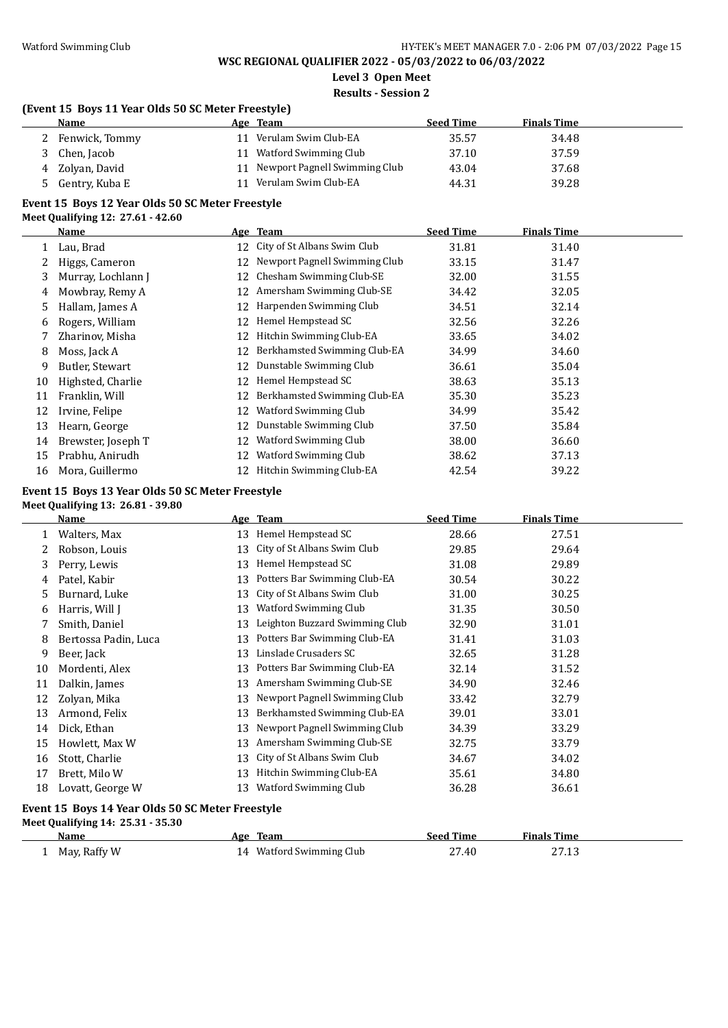**Level 3 Open Meet**

# **Results - Session 2**

## **(Event 15 Boys 11 Year Olds 50 SC Meter Freestyle)**

| Name            | Age Team                         | <b>Seed Time</b> | <b>Finals Time</b> |  |
|-----------------|----------------------------------|------------------|--------------------|--|
| Fenwick, Tommy  | 11 Verulam Swim Club-EA          | 35.57            | 34.48              |  |
| Chen, Jacob     | 11 Watford Swimming Club         | 37.10            | 37.59              |  |
| 4 Zolyan, David | 11 Newport Pagnell Swimming Club | 43.04            | 37.68              |  |
| Gentry, Kuba E  | Verulam Swim Club-EA             | 44.31            | 39.28              |  |

# **Event 15 Boys 12 Year Olds 50 SC Meter Freestyle**

### **Meet Qualifying 12: 27.61 - 42.60**

|    | Name               |    | Age Team                      | <b>Seed Time</b> | <b>Finals Time</b> |  |
|----|--------------------|----|-------------------------------|------------------|--------------------|--|
|    | Lau, Brad          | 12 | City of St Albans Swim Club   | 31.81            | 31.40              |  |
|    | Higgs, Cameron     | 12 | Newport Pagnell Swimming Club | 33.15            | 31.47              |  |
| 3  | Murray, Lochlann J | 12 | Chesham Swimming Club-SE      | 32.00            | 31.55              |  |
| 4  | Mowbray, Remy A    | 12 | Amersham Swimming Club-SE     | 34.42            | 32.05              |  |
| 5. | Hallam, James A    | 12 | Harpenden Swimming Club       | 34.51            | 32.14              |  |
| 6  | Rogers, William    | 12 | Hemel Hempstead SC            | 32.56            | 32.26              |  |
|    | Zharinov, Misha    | 12 | Hitchin Swimming Club-EA      | 33.65            | 34.02              |  |
| 8  | Moss, Jack A       | 12 | Berkhamsted Swimming Club-EA  | 34.99            | 34.60              |  |
| 9  | Butler, Stewart    | 12 | Dunstable Swimming Club       | 36.61            | 35.04              |  |
| 10 | Highsted, Charlie  | 12 | Hemel Hempstead SC            | 38.63            | 35.13              |  |
| 11 | Franklin, Will     | 12 | Berkhamsted Swimming Club-EA  | 35.30            | 35.23              |  |
| 12 | Irvine, Felipe     | 12 | Watford Swimming Club         | 34.99            | 35.42              |  |
| 13 | Hearn, George      | 12 | Dunstable Swimming Club       | 37.50            | 35.84              |  |
| 14 | Brewster, Joseph T | 12 | Watford Swimming Club         | 38.00            | 36.60              |  |
| 15 | Prabhu, Anirudh    | 12 | Watford Swimming Club         | 38.62            | 37.13              |  |
| 16 | Mora, Guillermo    | 12 | Hitchin Swimming Club-EA      | 42.54            | 39.22              |  |

### **Event 15 Boys 13 Year Olds 50 SC Meter Freestyle**

### **Meet Qualifying 13: 26.81 - 39.80**

|                                                                                       | <b>Name</b>          |    | Age Team                       | <b>Seed Time</b> | <b>Finals Time</b> |  |
|---------------------------------------------------------------------------------------|----------------------|----|--------------------------------|------------------|--------------------|--|
|                                                                                       | Walters, Max         | 13 | Hemel Hempstead SC             | 28.66            | 27.51              |  |
| 2                                                                                     | Robson, Louis        | 13 | City of St Albans Swim Club    | 29.85            | 29.64              |  |
| 3                                                                                     | Perry, Lewis         | 13 | Hemel Hempstead SC             | 31.08            | 29.89              |  |
| 4                                                                                     | Patel, Kabir         | 13 | Potters Bar Swimming Club-EA   | 30.54            | 30.22              |  |
| 5                                                                                     | Burnard, Luke        | 13 | City of St Albans Swim Club    | 31.00            | 30.25              |  |
| 6                                                                                     | Harris, Will J       | 13 | Watford Swimming Club          | 31.35            | 30.50              |  |
| 7                                                                                     | Smith, Daniel        | 13 | Leighton Buzzard Swimming Club | 32.90            | 31.01              |  |
| 8                                                                                     | Bertossa Padin, Luca | 13 | Potters Bar Swimming Club-EA   | 31.41            | 31.03              |  |
| 9                                                                                     | Beer, Jack           | 13 | Linslade Crusaders SC          | 32.65            | 31.28              |  |
| 10                                                                                    | Mordenti, Alex       | 13 | Potters Bar Swimming Club-EA   | 32.14            | 31.52              |  |
| 11                                                                                    | Dalkin, James        | 13 | Amersham Swimming Club-SE      | 34.90            | 32.46              |  |
| 12                                                                                    | Zolyan, Mika         | 13 | Newport Pagnell Swimming Club  | 33.42            | 32.79              |  |
| 13                                                                                    | Armond, Felix        | 13 | Berkhamsted Swimming Club-EA   | 39.01            | 33.01              |  |
| 14                                                                                    | Dick, Ethan          | 13 | Newport Pagnell Swimming Club  | 34.39            | 33.29              |  |
| 15                                                                                    | Howlett, Max W       | 13 | Amersham Swimming Club-SE      | 32.75            | 33.79              |  |
| 16                                                                                    | Stott, Charlie       | 13 | City of St Albans Swim Club    | 34.67            | 34.02              |  |
| 17                                                                                    | Brett, Milo W        | 13 | Hitchin Swimming Club-EA       | 35.61            | 34.80              |  |
| 18                                                                                    | Lovatt, George W     | 13 | Watford Swimming Club          | 36.28            | 36.61              |  |
| Event 15 Boys 14 Year Olds 50 SC Meter Freestyle<br>Meet Qualifying 14: 25.31 - 35.30 |                      |    |                                |                  |                    |  |

| Name         | Team<br>Age           | Seed Time      | <b>Finals Time</b> |
|--------------|-----------------------|----------------|--------------------|
| May, Raffy W | Watford Swimming Club | 27.40<br>_____ | 27.13              |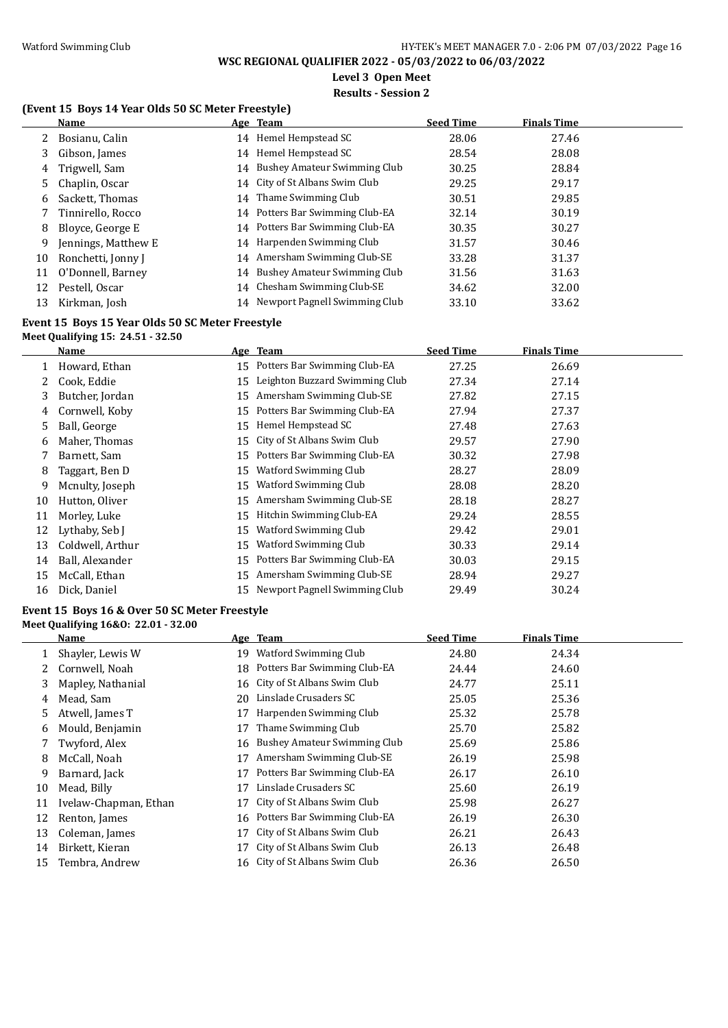**Level 3 Open Meet**

#### **Results - Session 2**

## **(Event 15 Boys 14 Year Olds 50 SC Meter Freestyle)**

|    | Name                |    | Age Team                         | <b>Seed Time</b> | <b>Finals Time</b> |  |
|----|---------------------|----|----------------------------------|------------------|--------------------|--|
|    | Bosianu, Calin      |    | 14 Hemel Hempstead SC            | 28.06            | 27.46              |  |
| 3  | Gibson, James       |    | 14 Hemel Hempstead SC            | 28.54            | 28.08              |  |
| 4  | Trigwell, Sam       | 14 | Bushey Amateur Swimming Club     | 30.25            | 28.84              |  |
| 5. | Chaplin, Oscar      |    | 14 City of St Albans Swim Club   | 29.25            | 29.17              |  |
| 6  | Sackett, Thomas     |    | 14 Thame Swimming Club           | 30.51            | 29.85              |  |
|    | Tinnirello, Rocco   |    | 14 Potters Bar Swimming Club-EA  | 32.14            | 30.19              |  |
| 8  | Bloyce, George E    |    | 14 Potters Bar Swimming Club-EA  | 30.35            | 30.27              |  |
| 9  | Jennings, Matthew E |    | 14 Harpenden Swimming Club       | 31.57            | 30.46              |  |
| 10 | Ronchetti, Jonny J  |    | 14 Amersham Swimming Club-SE     | 33.28            | 31.37              |  |
| 11 | O'Donnell, Barney   | 14 | Bushey Amateur Swimming Club     | 31.56            | 31.63              |  |
| 12 | Pestell, Oscar      |    | 14 Chesham Swimming Club-SE      | 34.62            | 32.00              |  |
| 13 | Kirkman, Josh       |    | 14 Newport Pagnell Swimming Club | 33.10            | 33.62              |  |

# **Event 15 Boys 15 Year Olds 50 SC Meter Freestyle**

**Meet Qualifying 15: 24.51 - 32.50**

|    | Name             |    | Age Team                       | <b>Seed Time</b> | <b>Finals Time</b> |
|----|------------------|----|--------------------------------|------------------|--------------------|
|    | Howard, Ethan    | 15 | Potters Bar Swimming Club-EA   | 27.25            | 26.69              |
|    | Cook. Eddie      | 15 | Leighton Buzzard Swimming Club | 27.34            | 27.14              |
| 3  | Butcher, Jordan  | 15 | Amersham Swimming Club-SE      | 27.82            | 27.15              |
| 4  | Cornwell, Koby   | 15 | Potters Bar Swimming Club-EA   | 27.94            | 27.37              |
| 5  | Ball, George     | 15 | Hemel Hempstead SC             | 27.48            | 27.63              |
| 6  | Maher, Thomas    | 15 | City of St Albans Swim Club    | 29.57            | 27.90              |
|    | Barnett, Sam     | 15 | Potters Bar Swimming Club-EA   | 30.32            | 27.98              |
| 8  | Taggart, Ben D   | 15 | Watford Swimming Club          | 28.27            | 28.09              |
| 9  | Mcnulty, Joseph  | 15 | <b>Watford Swimming Club</b>   | 28.08            | 28.20              |
| 10 | Hutton, Oliver   | 15 | Amersham Swimming Club-SE      | 28.18            | 28.27              |
| 11 | Morley, Luke     | 15 | Hitchin Swimming Club-EA       | 29.24            | 28.55              |
| 12 | Lythaby, Seb J   | 15 | Watford Swimming Club          | 29.42            | 29.01              |
| 13 | Coldwell, Arthur | 15 | Watford Swimming Club          | 30.33            | 29.14              |
| 14 | Ball, Alexander  | 15 | Potters Bar Swimming Club-EA   | 30.03            | 29.15              |
| 15 | McCall, Ethan    | 15 | Amersham Swimming Club-SE      | 28.94            | 29.27              |
| 16 | Dick, Daniel     | 15 | Newport Pagnell Swimming Club  | 29.49            | 30.24              |

#### **Event 15 Boys 16 & Over 50 SC Meter Freestyle Meet Qualifying 16&O: 22.01 - 32.00**

|    | Name                  |    | Age Team                       | <b>Seed Time</b> | <b>Finals Time</b> |
|----|-----------------------|----|--------------------------------|------------------|--------------------|
|    | Shayler, Lewis W      | 19 | Watford Swimming Club          | 24.80            | 24.34              |
|    | Cornwell, Noah        | 18 | Potters Bar Swimming Club-EA   | 24.44            | 24.60              |
| 3  | Mapley, Nathanial     |    | 16 City of St Albans Swim Club | 24.77            | 25.11              |
| 4  | Mead, Sam             | 20 | Linslade Crusaders SC          | 25.05            | 25.36              |
| 5. | Atwell, James T       | 17 | Harpenden Swimming Club        | 25.32            | 25.78              |
| 6  | Mould, Benjamin       | 17 | Thame Swimming Club            | 25.70            | 25.82              |
|    | Twyford, Alex         | 16 | Bushey Amateur Swimming Club   | 25.69            | 25.86              |
| 8  | McCall, Noah          | 17 | Amersham Swimming Club-SE      | 26.19            | 25.98              |
| 9  | Barnard, Jack         | 17 | Potters Bar Swimming Club-EA   | 26.17            | 26.10              |
| 10 | Mead, Billy           | 17 | Linslade Crusaders SC          | 25.60            | 26.19              |
| 11 | Ivelaw-Chapman, Ethan | 17 | City of St Albans Swim Club    | 25.98            | 26.27              |
| 12 | Renton, James         | 16 | Potters Bar Swimming Club-EA   | 26.19            | 26.30              |
| 13 | Coleman, James        | 17 | City of St Albans Swim Club    | 26.21            | 26.43              |
| 14 | Birkett, Kieran       | 17 | City of St Albans Swim Club    | 26.13            | 26.48              |
| 15 | Tembra, Andrew        | 16 | City of St Albans Swim Club    | 26.36            | 26.50              |
|    |                       |    |                                |                  |                    |